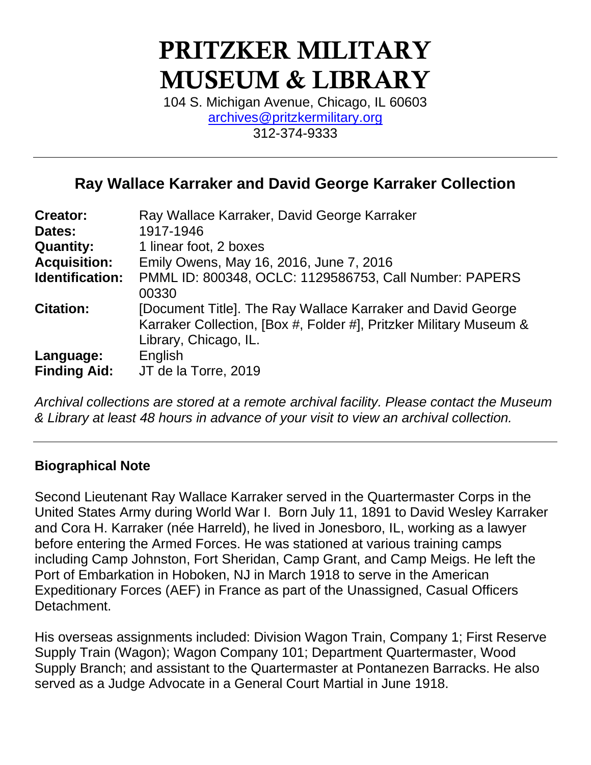# PRITZKER MILITARY MUSEUM & LIBRARY

104 S. Michigan Avenue, Chicago, IL 60603 [archives@pritzkermilitary.org](mailto:archives@pritzkermilitary.org) 312-374-9333

# **Ray Wallace Karraker and David George Karraker Collection**

| <b>Creator:</b>                  | Ray Wallace Karraker, David George Karraker                                                                                                                |
|----------------------------------|------------------------------------------------------------------------------------------------------------------------------------------------------------|
| Dates:                           | 1917-1946                                                                                                                                                  |
| <b>Quantity:</b>                 | 1 linear foot, 2 boxes                                                                                                                                     |
| <b>Acquisition:</b>              | Emily Owens, May 16, 2016, June 7, 2016                                                                                                                    |
| Identification:                  | PMML ID: 800348, OCLC: 1129586753, Call Number: PAPERS<br>00330                                                                                            |
| <b>Citation:</b>                 | [Document Title]. The Ray Wallace Karraker and David George<br>Karraker Collection, [Box #, Folder #], Pritzker Military Museum &<br>Library, Chicago, IL. |
| Language:<br><b>Finding Aid:</b> | English<br>JT de la Torre, 2019                                                                                                                            |

*Archival collections are stored at a remote archival facility. Please contact the Museum & Library at least 48 hours in advance of your visit to view an archival collection.*

# **Biographical Note**

Second Lieutenant Ray Wallace Karraker served in the Quartermaster Corps in the United States Army during World War I. Born July 11, 1891 to David Wesley Karraker and Cora H. Karraker (née Harreld), he lived in Jonesboro, IL, working as a lawyer before entering the Armed Forces. He was stationed at various training camps including Camp Johnston, Fort Sheridan, Camp Grant, and Camp Meigs. He left the Port of Embarkation in Hoboken, NJ in March 1918 to serve in the American Expeditionary Forces (AEF) in France as part of the Unassigned, Casual Officers Detachment.

His overseas assignments included: Division Wagon Train, Company 1; First Reserve Supply Train (Wagon); Wagon Company 101; Department Quartermaster, Wood Supply Branch; and assistant to the Quartermaster at Pontanezen Barracks. He also served as a Judge Advocate in a General Court Martial in June 1918.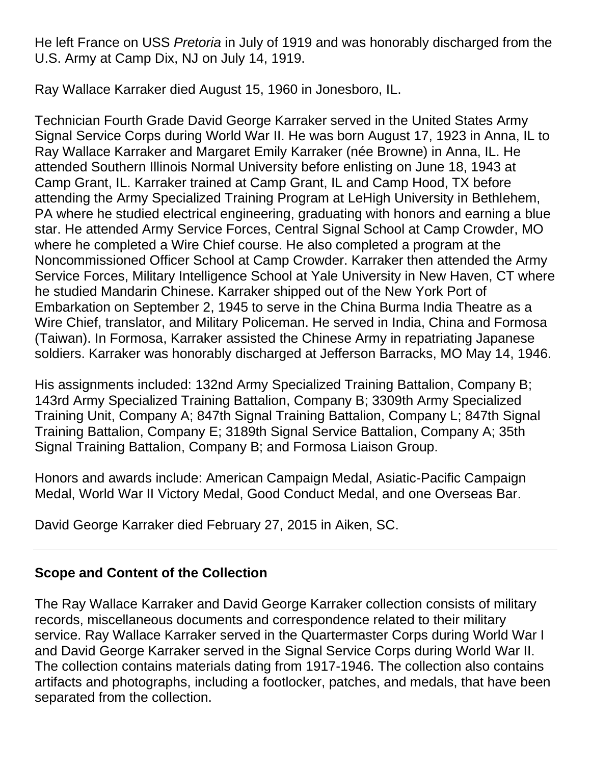He left France on USS *Pretoria* in July of 1919 and was honorably discharged from the U.S. Army at Camp Dix, NJ on July 14, 1919.

Ray Wallace Karraker died August 15, 1960 in Jonesboro, IL.

Technician Fourth Grade David George Karraker served in the United States Army Signal Service Corps during World War II. He was born August 17, 1923 in Anna, IL to Ray Wallace Karraker and Margaret Emily Karraker (née Browne) in Anna, IL. He attended Southern Illinois Normal University before enlisting on June 18, 1943 at Camp Grant, IL. Karraker trained at Camp Grant, IL and Camp Hood, TX before attending the Army Specialized Training Program at LeHigh University in Bethlehem, PA where he studied electrical engineering, graduating with honors and earning a blue star. He attended Army Service Forces, Central Signal School at Camp Crowder, MO where he completed a Wire Chief course. He also completed a program at the Noncommissioned Officer School at Camp Crowder. Karraker then attended the Army Service Forces, Military Intelligence School at Yale University in New Haven, CT where he studied Mandarin Chinese. Karraker shipped out of the New York Port of Embarkation on September 2, 1945 to serve in the China Burma India Theatre as a Wire Chief, translator, and Military Policeman. He served in India, China and Formosa (Taiwan). In Formosa, Karraker assisted the Chinese Army in repatriating Japanese soldiers. Karraker was honorably discharged at Jefferson Barracks, MO May 14, 1946.

His assignments included: 132nd Army Specialized Training Battalion, Company B; 143rd Army Specialized Training Battalion, Company B; 3309th Army Specialized Training Unit, Company A; 847th Signal Training Battalion, Company L; 847th Signal Training Battalion, Company E; 3189th Signal Service Battalion, Company A; 35th Signal Training Battalion, Company B; and Formosa Liaison Group.

Honors and awards include: American Campaign Medal, Asiatic-Pacific Campaign Medal, World War II Victory Medal, Good Conduct Medal, and one Overseas Bar.

David George Karraker died February 27, 2015 in Aiken, SC.

# **Scope and Content of the Collection**

The Ray Wallace Karraker and David George Karraker collection consists of military records, miscellaneous documents and correspondence related to their military service. Ray Wallace Karraker served in the Quartermaster Corps during World War I and David George Karraker served in the Signal Service Corps during World War II. The collection contains materials dating from 1917-1946. The collection also contains artifacts and photographs, including a footlocker, patches, and medals, that have been separated from the collection.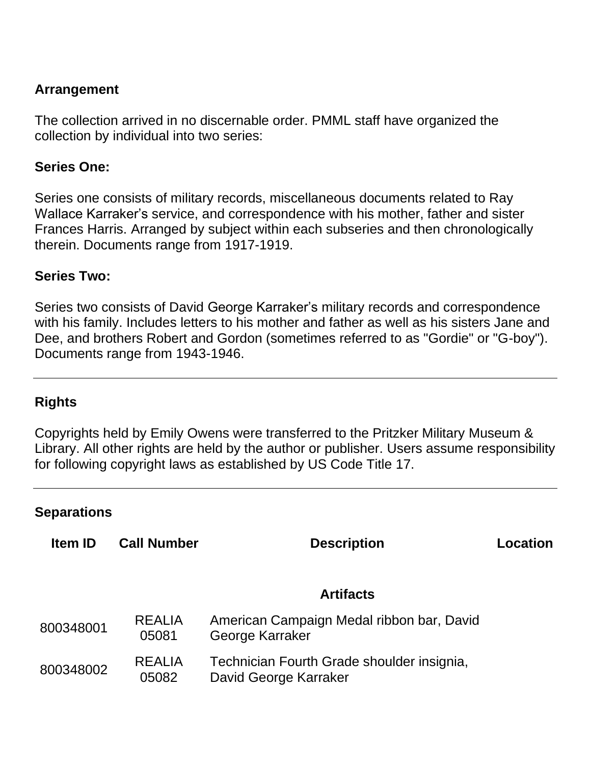# **Arrangement**

The collection arrived in no discernable order. PMML staff have organized the collection by individual into two series:

#### **Series One:**

Series one consists of military records, miscellaneous documents related to Ray Wallace Karraker's service, and correspondence with his mother, father and sister Frances Harris. Arranged by subject within each subseries and then chronologically therein. Documents range from 1917-1919.

#### **Series Two:**

Series two consists of David George Karraker's military records and correspondence with his family. Includes letters to his mother and father as well as his sisters Jane and Dee, and brothers Robert and Gordon (sometimes referred to as "Gordie" or "G-boy"). Documents range from 1943-1946.

# **Rights**

Copyrights held by Emily Owens were transferred to the Pritzker Military Museum & Library. All other rights are held by the author or publisher. Users assume responsibility for following copyright laws as established by US Code Title 17.

#### **Separations**

| <b>Item ID</b> | <b>Call Number</b>     | <b>Description</b>                                                  | Location |
|----------------|------------------------|---------------------------------------------------------------------|----------|
|                |                        | <b>Artifacts</b>                                                    |          |
| 800348001      | <b>REALIA</b><br>05081 | American Campaign Medal ribbon bar, David<br>George Karraker        |          |
| 800348002      | <b>REALIA</b><br>05082 | Technician Fourth Grade shoulder insignia,<br>David George Karraker |          |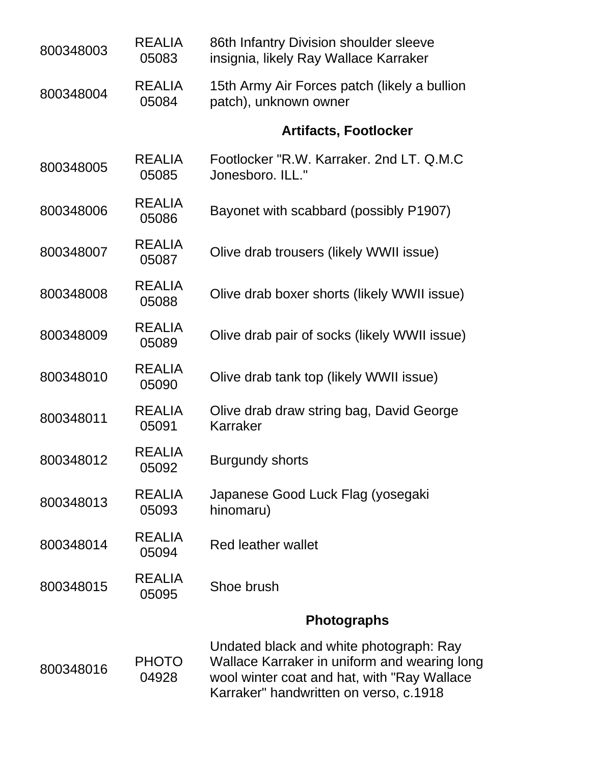| 800348003 | <b>REALIA</b><br>05083 | 86th Infantry Division shoulder sleeve<br>insignia, likely Ray Wallace Karraker                                                                                                   |
|-----------|------------------------|-----------------------------------------------------------------------------------------------------------------------------------------------------------------------------------|
| 800348004 | <b>REALIA</b><br>05084 | 15th Army Air Forces patch (likely a bullion<br>patch), unknown owner                                                                                                             |
|           |                        | <b>Artifacts, Footlocker</b>                                                                                                                                                      |
| 800348005 | <b>REALIA</b><br>05085 | Footlocker "R.W. Karraker. 2nd LT. Q.M.C<br>Jonesboro, ILL."                                                                                                                      |
| 800348006 | <b>REALIA</b><br>05086 | Bayonet with scabbard (possibly P1907)                                                                                                                                            |
| 800348007 | <b>REALIA</b><br>05087 | Olive drab trousers (likely WWII issue)                                                                                                                                           |
| 800348008 | <b>REALIA</b><br>05088 | Olive drab boxer shorts (likely WWII issue)                                                                                                                                       |
| 800348009 | <b>REALIA</b><br>05089 | Olive drab pair of socks (likely WWII issue)                                                                                                                                      |
| 800348010 | <b>REALIA</b><br>05090 | Olive drab tank top (likely WWII issue)                                                                                                                                           |
| 800348011 | <b>REALIA</b><br>05091 | Olive drab draw string bag, David George<br>Karraker                                                                                                                              |
| 800348012 | <b>REALIA</b><br>05092 | <b>Burgundy shorts</b>                                                                                                                                                            |
| 800348013 | <b>REALIA</b><br>05093 | Japanese Good Luck Flag (yosegaki<br>hinomaru)                                                                                                                                    |
| 800348014 | <b>REALIA</b><br>05094 | <b>Red leather wallet</b>                                                                                                                                                         |
| 800348015 | <b>REALIA</b><br>05095 | Shoe brush                                                                                                                                                                        |
|           |                        | <b>Photographs</b>                                                                                                                                                                |
| 800348016 | <b>PHOTO</b><br>04928  | Undated black and white photograph: Ray<br>Wallace Karraker in uniform and wearing long<br>wool winter coat and hat, with "Ray Wallace"<br>Karraker" handwritten on verso, c.1918 |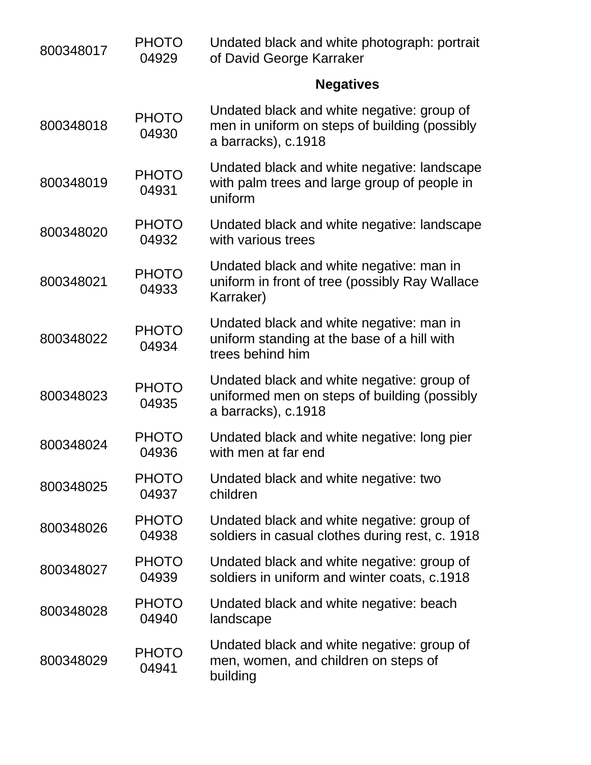| 800348017 | <b>PHOTO</b><br>04929 | Undated black and white photograph: portrait<br>of David George Karraker                                           |
|-----------|-----------------------|--------------------------------------------------------------------------------------------------------------------|
|           |                       | <b>Negatives</b>                                                                                                   |
| 800348018 | <b>PHOTO</b><br>04930 | Undated black and white negative: group of<br>men in uniform on steps of building (possibly<br>a barracks), c.1918 |
| 800348019 | <b>PHOTO</b><br>04931 | Undated black and white negative: landscape<br>with palm trees and large group of people in<br>uniform             |
| 800348020 | <b>PHOTO</b><br>04932 | Undated black and white negative: landscape<br>with various trees                                                  |
| 800348021 | <b>PHOTO</b><br>04933 | Undated black and white negative: man in<br>uniform in front of tree (possibly Ray Wallace<br>Karraker)            |
| 800348022 | <b>PHOTO</b><br>04934 | Undated black and white negative: man in<br>uniform standing at the base of a hill with<br>trees behind him        |
| 800348023 | <b>PHOTO</b><br>04935 | Undated black and white negative: group of<br>uniformed men on steps of building (possibly<br>a barracks), c.1918  |
| 800348024 | <b>PHOTO</b><br>04936 | Undated black and white negative: long pier<br>with men at far end                                                 |
| 800348025 | <b>PHOTO</b><br>04937 | Undated black and white negative: two<br>children                                                                  |
| 800348026 | <b>PHOTO</b><br>04938 | Undated black and white negative: group of<br>soldiers in casual clothes during rest, c. 1918                      |
| 800348027 | <b>PHOTO</b><br>04939 | Undated black and white negative: group of<br>soldiers in uniform and winter coats, c.1918                         |
| 800348028 | <b>PHOTO</b><br>04940 | Undated black and white negative: beach<br>landscape                                                               |
| 800348029 | <b>PHOTO</b><br>04941 | Undated black and white negative: group of<br>men, women, and children on steps of<br>building                     |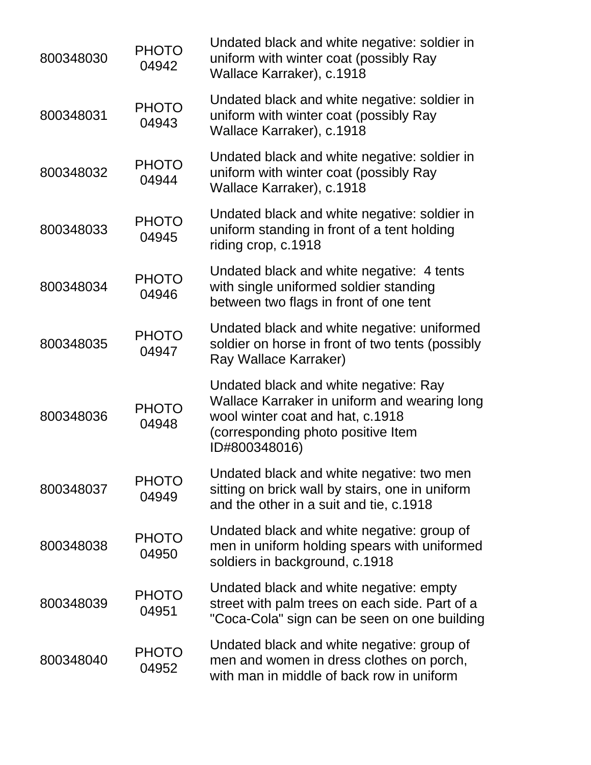| 800348030 | <b>PHOTO</b><br>04942 | Undated black and white negative: soldier in<br>uniform with winter coat (possibly Ray<br>Wallace Karraker), c.1918                                                              |
|-----------|-----------------------|----------------------------------------------------------------------------------------------------------------------------------------------------------------------------------|
| 800348031 | <b>PHOTO</b><br>04943 | Undated black and white negative: soldier in<br>uniform with winter coat (possibly Ray<br>Wallace Karraker), c.1918                                                              |
| 800348032 | <b>PHOTO</b><br>04944 | Undated black and white negative: soldier in<br>uniform with winter coat (possibly Ray<br>Wallace Karraker), c.1918                                                              |
| 800348033 | <b>PHOTO</b><br>04945 | Undated black and white negative: soldier in<br>uniform standing in front of a tent holding<br>riding crop, c.1918                                                               |
| 800348034 | <b>PHOTO</b><br>04946 | Undated black and white negative: 4 tents<br>with single uniformed soldier standing<br>between two flags in front of one tent                                                    |
| 800348035 | <b>PHOTO</b><br>04947 | Undated black and white negative: uniformed<br>soldier on horse in front of two tents (possibly<br>Ray Wallace Karraker)                                                         |
| 800348036 | <b>PHOTO</b><br>04948 | Undated black and white negative: Ray<br>Wallace Karraker in uniform and wearing long<br>wool winter coat and hat, c.1918<br>(corresponding photo positive Item<br>ID#800348016) |
| 800348037 | <b>PHOTO</b><br>04949 | Undated black and white negative: two men<br>sitting on brick wall by stairs, one in uniform<br>and the other in a suit and tie, c.1918                                          |
| 800348038 | <b>PHOTO</b><br>04950 | Undated black and white negative: group of<br>men in uniform holding spears with uniformed<br>soldiers in background, c.1918                                                     |
| 800348039 | <b>PHOTO</b><br>04951 | Undated black and white negative: empty<br>street with palm trees on each side. Part of a<br>"Coca-Cola" sign can be seen on one building                                        |
| 800348040 | <b>PHOTO</b><br>04952 | Undated black and white negative: group of<br>men and women in dress clothes on porch,<br>with man in middle of back row in uniform                                              |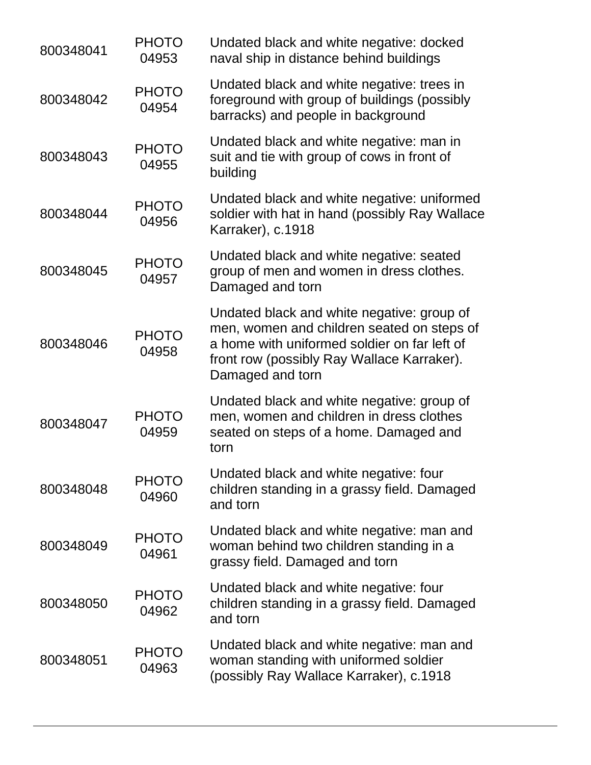| 800348041 | <b>PHOTO</b><br>04953 | Undated black and white negative: docked<br>naval ship in distance behind buildings                                                                                                                        |
|-----------|-----------------------|------------------------------------------------------------------------------------------------------------------------------------------------------------------------------------------------------------|
| 800348042 | <b>PHOTO</b><br>04954 | Undated black and white negative: trees in<br>foreground with group of buildings (possibly<br>barracks) and people in background                                                                           |
| 800348043 | <b>PHOTO</b><br>04955 | Undated black and white negative: man in<br>suit and tie with group of cows in front of<br>building                                                                                                        |
| 800348044 | <b>PHOTO</b><br>04956 | Undated black and white negative: uniformed<br>soldier with hat in hand (possibly Ray Wallace<br>Karraker), c.1918                                                                                         |
| 800348045 | <b>PHOTO</b><br>04957 | Undated black and white negative: seated<br>group of men and women in dress clothes.<br>Damaged and torn                                                                                                   |
| 800348046 | <b>PHOTO</b><br>04958 | Undated black and white negative: group of<br>men, women and children seated on steps of<br>a home with uniformed soldier on far left of<br>front row (possibly Ray Wallace Karraker).<br>Damaged and torn |
| 800348047 | <b>PHOTO</b><br>04959 | Undated black and white negative: group of<br>men, women and children in dress clothes<br>seated on steps of a home. Damaged and<br>torn                                                                   |
| 800348048 | <b>PHOTO</b><br>04960 | Undated black and white negative: four<br>children standing in a grassy field. Damaged<br>and torn                                                                                                         |
| 800348049 | <b>PHOTO</b><br>04961 | Undated black and white negative: man and<br>woman behind two children standing in a<br>grassy field. Damaged and torn                                                                                     |
| 800348050 | <b>PHOTO</b><br>04962 | Undated black and white negative: four<br>children standing in a grassy field. Damaged<br>and torn                                                                                                         |
| 800348051 | <b>PHOTO</b><br>04963 | Undated black and white negative: man and<br>woman standing with uniformed soldier<br>(possibly Ray Wallace Karraker), c.1918                                                                              |
|           |                       |                                                                                                                                                                                                            |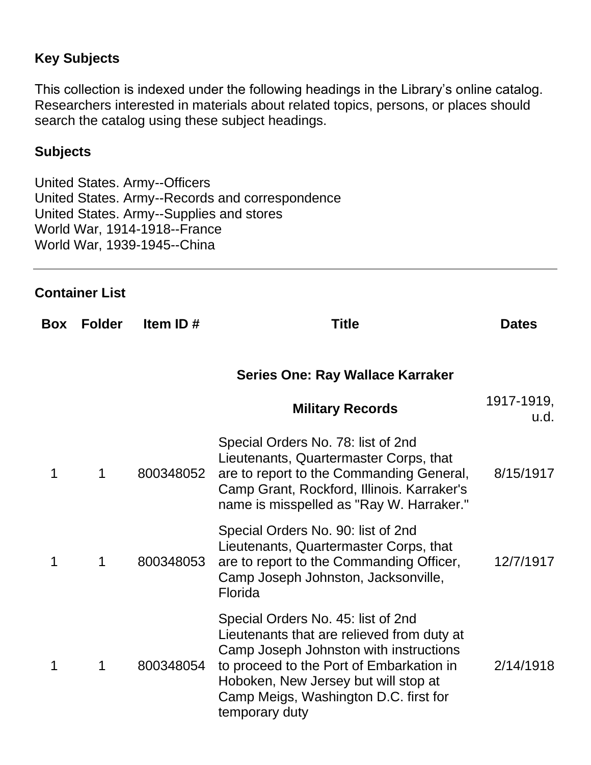# **Key Subjects**

This collection is indexed under the following headings in the Library's online catalog. Researchers interested in materials about related topics, persons, or places should search the catalog using these subject headings.

#### **Subjects**

United States. Army--Officers United States. Army--Records and correspondence United States. Army--Supplies and stores World War, 1914-1918--France World War, 1939-1945--China

#### **Container List**

| Box | <b>Folder</b> | Item ID#  | <b>Title</b>                                                                                                                                                                                                                                                              | <b>Dates</b>       |
|-----|---------------|-----------|---------------------------------------------------------------------------------------------------------------------------------------------------------------------------------------------------------------------------------------------------------------------------|--------------------|
|     |               |           | Series One: Ray Wallace Karraker                                                                                                                                                                                                                                          |                    |
|     |               |           | <b>Military Records</b>                                                                                                                                                                                                                                                   | 1917-1919,<br>u.d. |
| 1   | 1             | 800348052 | Special Orders No. 78: list of 2nd<br>Lieutenants, Quartermaster Corps, that<br>are to report to the Commanding General,<br>Camp Grant, Rockford, Illinois. Karraker's<br>name is misspelled as "Ray W. Harraker."                                                        | 8/15/1917          |
| 1   | 1             | 800348053 | Special Orders No. 90: list of 2nd<br>Lieutenants, Quartermaster Corps, that<br>are to report to the Commanding Officer,<br>Camp Joseph Johnston, Jacksonville,<br>Florida                                                                                                | 12/7/1917          |
| 1   | 1             | 800348054 | Special Orders No. 45: list of 2nd<br>Lieutenants that are relieved from duty at<br>Camp Joseph Johnston with instructions<br>to proceed to the Port of Embarkation in<br>Hoboken, New Jersey but will stop at<br>Camp Meigs, Washington D.C. first for<br>temporary duty | 2/14/1918          |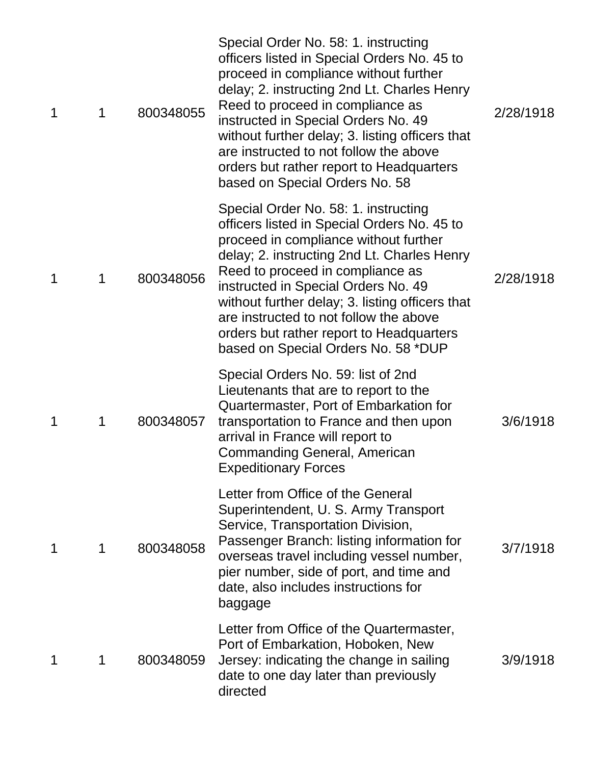| 1 | 1 | 800348055 | Special Order No. 58: 1. instructing<br>officers listed in Special Orders No. 45 to<br>proceed in compliance without further<br>delay; 2. instructing 2nd Lt. Charles Henry<br>Reed to proceed in compliance as<br>instructed in Special Orders No. 49<br>without further delay; 3. listing officers that<br>are instructed to not follow the above<br>orders but rather report to Headquarters<br>based on Special Orders No. 58      | 2/28/1918 |
|---|---|-----------|----------------------------------------------------------------------------------------------------------------------------------------------------------------------------------------------------------------------------------------------------------------------------------------------------------------------------------------------------------------------------------------------------------------------------------------|-----------|
| 1 | 1 | 800348056 | Special Order No. 58: 1. instructing<br>officers listed in Special Orders No. 45 to<br>proceed in compliance without further<br>delay; 2. instructing 2nd Lt. Charles Henry<br>Reed to proceed in compliance as<br>instructed in Special Orders No. 49<br>without further delay; 3. listing officers that<br>are instructed to not follow the above<br>orders but rather report to Headquarters<br>based on Special Orders No. 58 *DUP | 2/28/1918 |
| 1 | 1 | 800348057 | Special Orders No. 59: list of 2nd<br>Lieutenants that are to report to the<br>Quartermaster, Port of Embarkation for<br>transportation to France and then upon<br>arrival in France will report to<br><b>Commanding General, American</b><br><b>Expeditionary Forces</b>                                                                                                                                                              | 3/6/1918  |
| 1 | 1 | 800348058 | Letter from Office of the General<br>Superintendent, U. S. Army Transport<br>Service, Transportation Division,<br>Passenger Branch: listing information for<br>overseas travel including vessel number,<br>pier number, side of port, and time and<br>date, also includes instructions for<br>baggage                                                                                                                                  | 3/7/1918  |
| 1 | 1 | 800348059 | Letter from Office of the Quartermaster,<br>Port of Embarkation, Hoboken, New<br>Jersey: indicating the change in sailing<br>date to one day later than previously<br>directed                                                                                                                                                                                                                                                         | 3/9/1918  |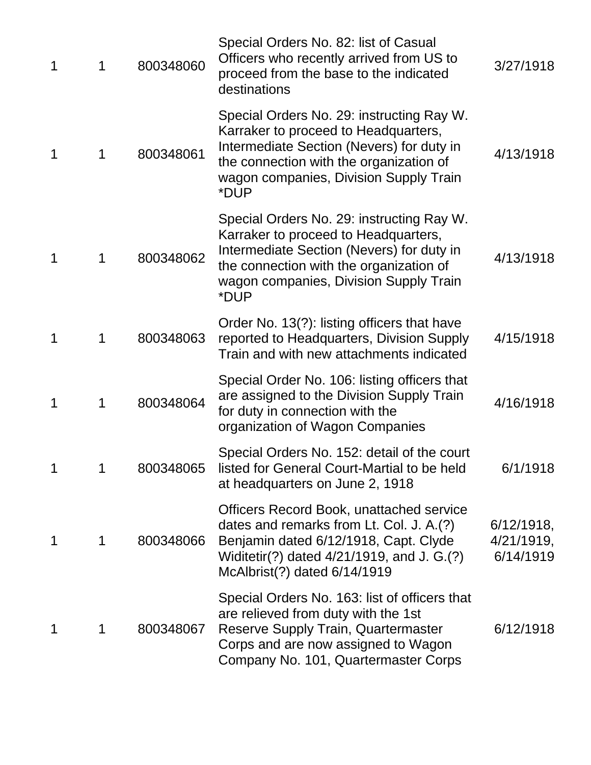| 1 | 1           | 800348060 | Special Orders No. 82: list of Casual<br>Officers who recently arrived from US to<br>proceed from the base to the indicated<br>destinations                                                                                 | 3/27/1918                                |
|---|-------------|-----------|-----------------------------------------------------------------------------------------------------------------------------------------------------------------------------------------------------------------------------|------------------------------------------|
| 1 | $\mathbf 1$ | 800348061 | Special Orders No. 29: instructing Ray W.<br>Karraker to proceed to Headquarters,<br>Intermediate Section (Nevers) for duty in<br>the connection with the organization of<br>wagon companies, Division Supply Train<br>*DUP | 4/13/1918                                |
| 1 | 1           | 800348062 | Special Orders No. 29: instructing Ray W.<br>Karraker to proceed to Headquarters,<br>Intermediate Section (Nevers) for duty in<br>the connection with the organization of<br>wagon companies, Division Supply Train<br>*DUP | 4/13/1918                                |
| 1 | 1           | 800348063 | Order No. 13(?): listing officers that have<br>reported to Headquarters, Division Supply<br>Train and with new attachments indicated                                                                                        | 4/15/1918                                |
| 1 | 1           | 800348064 | Special Order No. 106: listing officers that<br>are assigned to the Division Supply Train<br>for duty in connection with the<br>organization of Wagon Companies                                                             | 4/16/1918                                |
| 1 | 1           | 800348065 | Special Orders No. 152: detail of the court<br>listed for General Court-Martial to be held<br>at headquarters on June 2, 1918                                                                                               | 6/1/1918                                 |
| 1 | 1           | 800348066 | <b>Officers Record Book, unattached service</b><br>dates and remarks from Lt. Col. J. A.(?)<br>Benjamin dated 6/12/1918, Capt. Clyde<br>Widitetir(?) dated 4/21/1919, and J. G.(?)<br>McAlbrist(?) dated 6/14/1919          | $6/12/1918$ ,<br>4/21/1919,<br>6/14/1919 |
| 1 | 1           | 800348067 | Special Orders No. 163: list of officers that<br>are relieved from duty with the 1st<br>Reserve Supply Train, Quartermaster<br>Corps and are now assigned to Wagon<br>Company No. 101, Quartermaster Corps                  | 6/12/1918                                |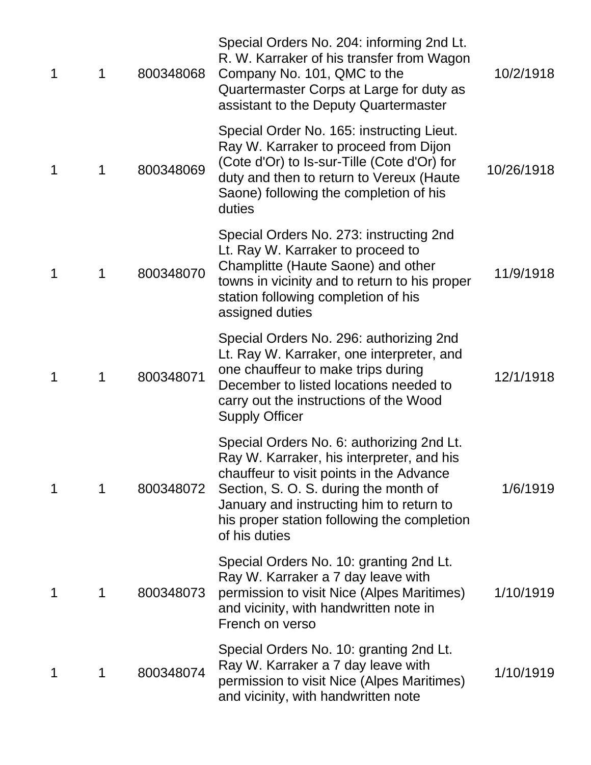| 1 | 1 | 800348068 | Special Orders No. 204: informing 2nd Lt.<br>R. W. Karraker of his transfer from Wagon<br>Company No. 101, QMC to the<br>Quartermaster Corps at Large for duty as<br>assistant to the Deputy Quartermaster                                                                              | 10/2/1918  |
|---|---|-----------|-----------------------------------------------------------------------------------------------------------------------------------------------------------------------------------------------------------------------------------------------------------------------------------------|------------|
| 1 | 1 | 800348069 | Special Order No. 165: instructing Lieut.<br>Ray W. Karraker to proceed from Dijon<br>(Cote d'Or) to Is-sur-Tille (Cote d'Or) for<br>duty and then to return to Vereux (Haute<br>Saone) following the completion of his<br>duties                                                       | 10/26/1918 |
| 1 | 1 | 800348070 | Special Orders No. 273: instructing 2nd<br>Lt. Ray W. Karraker to proceed to<br>Champlitte (Haute Saone) and other<br>towns in vicinity and to return to his proper<br>station following completion of his<br>assigned duties                                                           | 11/9/1918  |
| 1 | 1 | 800348071 | Special Orders No. 296: authorizing 2nd<br>Lt. Ray W. Karraker, one interpreter, and<br>one chauffeur to make trips during<br>December to listed locations needed to<br>carry out the instructions of the Wood<br><b>Supply Officer</b>                                                 | 12/1/1918  |
| 1 | 1 | 800348072 | Special Orders No. 6: authorizing 2nd Lt.<br>Ray W. Karraker, his interpreter, and his<br>chauffeur to visit points in the Advance<br>Section, S. O. S. during the month of<br>January and instructing him to return to<br>his proper station following the completion<br>of his duties | 1/6/1919   |
| 1 | 1 | 800348073 | Special Orders No. 10: granting 2nd Lt.<br>Ray W. Karraker a 7 day leave with<br>permission to visit Nice (Alpes Maritimes)<br>and vicinity, with handwritten note in<br>French on verso                                                                                                | 1/10/1919  |
| 1 | 1 | 800348074 | Special Orders No. 10: granting 2nd Lt.<br>Ray W. Karraker a 7 day leave with<br>permission to visit Nice (Alpes Maritimes)<br>and vicinity, with handwritten note                                                                                                                      | 1/10/1919  |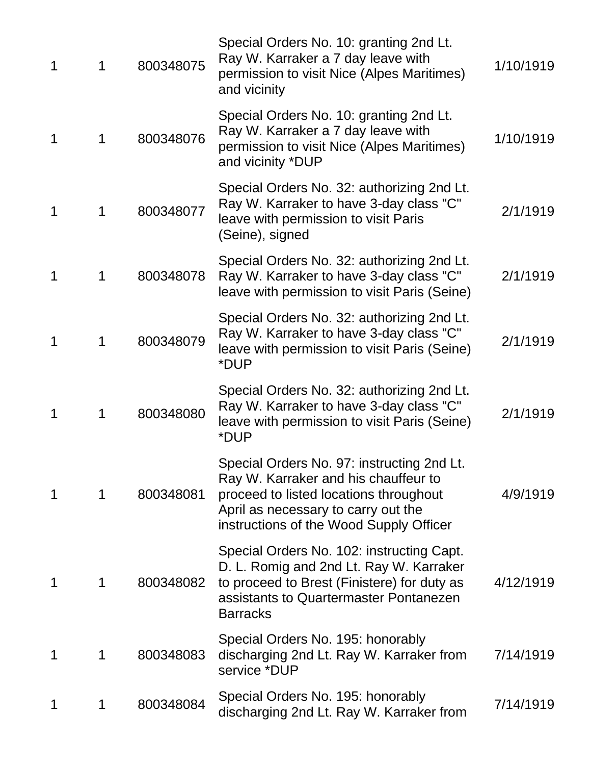| 1 | 1           | 800348075 | Special Orders No. 10: granting 2nd Lt.<br>Ray W. Karraker a 7 day leave with<br>permission to visit Nice (Alpes Maritimes)<br>and vicinity                                                                    | 1/10/1919 |
|---|-------------|-----------|----------------------------------------------------------------------------------------------------------------------------------------------------------------------------------------------------------------|-----------|
| 1 | 1           | 800348076 | Special Orders No. 10: granting 2nd Lt.<br>Ray W. Karraker a 7 day leave with<br>permission to visit Nice (Alpes Maritimes)<br>and vicinity *DUP                                                               | 1/10/1919 |
| 1 | 1           | 800348077 | Special Orders No. 32: authorizing 2nd Lt.<br>Ray W. Karraker to have 3-day class "C"<br>leave with permission to visit Paris<br>(Seine), signed                                                               | 2/1/1919  |
| 1 | 1           | 800348078 | Special Orders No. 32: authorizing 2nd Lt.<br>Ray W. Karraker to have 3-day class "C"<br>leave with permission to visit Paris (Seine)                                                                          | 2/1/1919  |
| 1 | 1           | 800348079 | Special Orders No. 32: authorizing 2nd Lt.<br>Ray W. Karraker to have 3-day class "C"<br>leave with permission to visit Paris (Seine)<br>*DUP                                                                  | 2/1/1919  |
| 1 | $\mathbf 1$ | 800348080 | Special Orders No. 32: authorizing 2nd Lt.<br>Ray W. Karraker to have 3-day class "C"<br>leave with permission to visit Paris (Seine)<br>*DUP                                                                  | 2/1/1919  |
| 1 | 1           | 800348081 | Special Orders No. 97: instructing 2nd Lt.<br>Ray W. Karraker and his chauffeur to<br>proceed to listed locations throughout<br>April as necessary to carry out the<br>instructions of the Wood Supply Officer | 4/9/1919  |
| 1 | 1           | 800348082 | Special Orders No. 102: instructing Capt.<br>D. L. Romig and 2nd Lt. Ray W. Karraker<br>to proceed to Brest (Finistere) for duty as<br>assistants to Quartermaster Pontanezen<br><b>Barracks</b>               | 4/12/1919 |
| 1 | 1           | 800348083 | Special Orders No. 195: honorably<br>discharging 2nd Lt. Ray W. Karraker from<br>service *DUP                                                                                                                  | 7/14/1919 |
| 1 | 1           | 800348084 | Special Orders No. 195: honorably<br>discharging 2nd Lt. Ray W. Karraker from                                                                                                                                  | 7/14/1919 |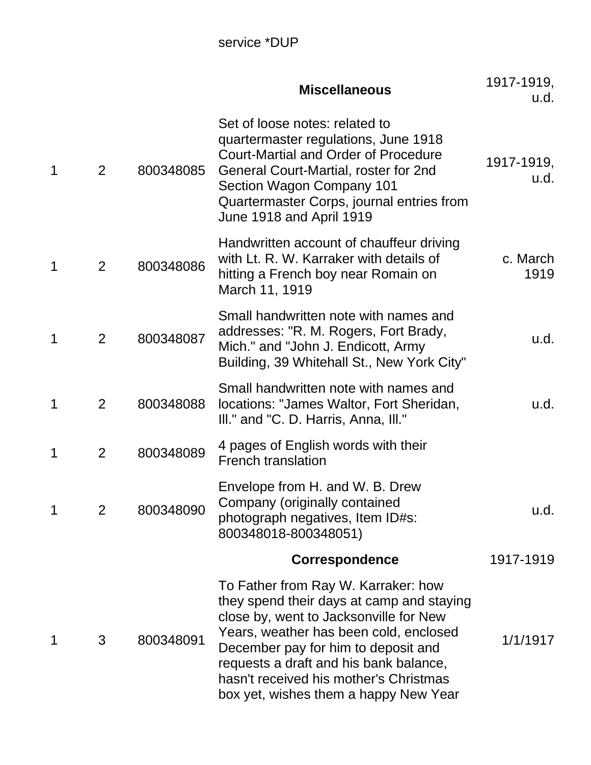|   |                |           | <b>Miscellaneous</b>                                                                                                                                                                                                                                                                                                                     | 1917-1919,<br>u.d. |
|---|----------------|-----------|------------------------------------------------------------------------------------------------------------------------------------------------------------------------------------------------------------------------------------------------------------------------------------------------------------------------------------------|--------------------|
| 1 | 2              | 800348085 | Set of loose notes: related to<br>quartermaster regulations, June 1918<br><b>Court-Martial and Order of Procedure</b><br>General Court-Martial, roster for 2nd<br>Section Wagon Company 101<br>Quartermaster Corps, journal entries from<br>June 1918 and April 1919                                                                     | 1917-1919,<br>u.d. |
| 1 | 2              | 800348086 | Handwritten account of chauffeur driving<br>with Lt. R. W. Karraker with details of<br>hitting a French boy near Romain on<br>March 11, 1919                                                                                                                                                                                             | c. March<br>1919   |
| 1 | $\overline{2}$ | 800348087 | Small handwritten note with names and<br>addresses: "R. M. Rogers, Fort Brady,<br>Mich." and "John J. Endicott, Army<br>Building, 39 Whitehall St., New York City"                                                                                                                                                                       | u.d.               |
| 1 | $\overline{2}$ | 800348088 | Small handwritten note with names and<br>locations: "James Waltor, Fort Sheridan,<br>III." and "C. D. Harris, Anna, III."                                                                                                                                                                                                                | u.d.               |
| 1 | $\overline{2}$ | 800348089 | 4 pages of English words with their<br><b>French translation</b>                                                                                                                                                                                                                                                                         |                    |
| 1 | 2              | 800348090 | Envelope from H. and W. B. Drew<br>Company (originally contained<br>photograph negatives, Item ID#s:<br>800348018-800348051)                                                                                                                                                                                                             | u.d.               |
|   |                |           | <b>Correspondence</b>                                                                                                                                                                                                                                                                                                                    | 1917-1919          |
| 1 | $\mathbf{3}$   | 800348091 | To Father from Ray W. Karraker: how<br>they spend their days at camp and staying<br>close by, went to Jacksonville for New<br>Years, weather has been cold, enclosed<br>December pay for him to deposit and<br>requests a draft and his bank balance,<br>hasn't received his mother's Christmas<br>box yet, wishes them a happy New Year | 1/1/1917           |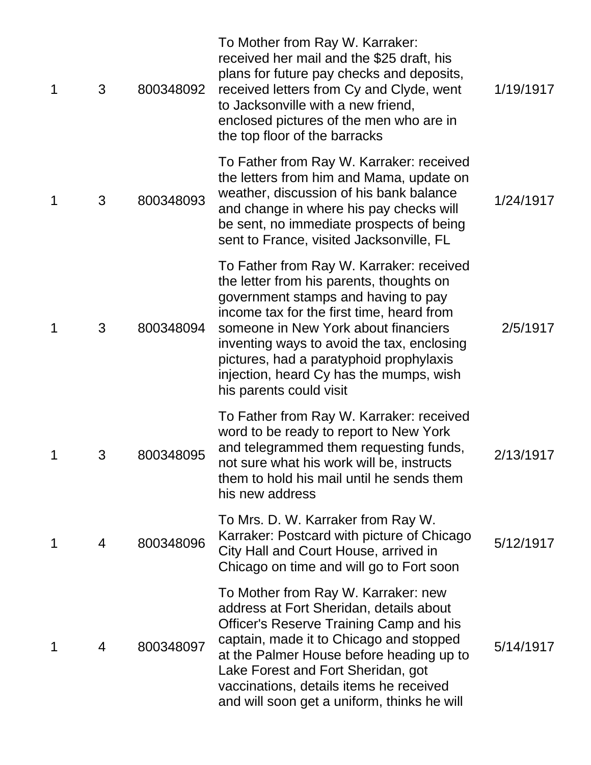| 1 | 3 | 800348092 | To Mother from Ray W. Karraker:<br>received her mail and the \$25 draft, his<br>plans for future pay checks and deposits,<br>received letters from Cy and Clyde, went<br>to Jacksonville with a new friend,<br>enclosed pictures of the men who are in<br>the top floor of the barracks                                                                                         | 1/19/1917 |
|---|---|-----------|---------------------------------------------------------------------------------------------------------------------------------------------------------------------------------------------------------------------------------------------------------------------------------------------------------------------------------------------------------------------------------|-----------|
| 1 | 3 | 800348093 | To Father from Ray W. Karraker: received<br>the letters from him and Mama, update on<br>weather, discussion of his bank balance<br>and change in where his pay checks will<br>be sent, no immediate prospects of being<br>sent to France, visited Jacksonville, FL                                                                                                              | 1/24/1917 |
| 1 | 3 | 800348094 | To Father from Ray W. Karraker: received<br>the letter from his parents, thoughts on<br>government stamps and having to pay<br>income tax for the first time, heard from<br>someone in New York about financiers<br>inventing ways to avoid the tax, enclosing<br>pictures, had a paratyphoid prophylaxis<br>injection, heard Cy has the mumps, wish<br>his parents could visit | 2/5/1917  |
| 1 | 3 | 800348095 | To Father from Ray W. Karraker: received<br>word to be ready to report to New York<br>and telegrammed them requesting funds,<br>not sure what his work will be, instructs<br>them to hold his mail until he sends them<br>his new address                                                                                                                                       | 2/13/1917 |
| 1 | 4 | 800348096 | To Mrs. D. W. Karraker from Ray W.<br>Karraker: Postcard with picture of Chicago<br>City Hall and Court House, arrived in<br>Chicago on time and will go to Fort soon                                                                                                                                                                                                           | 5/12/1917 |
| 1 | 4 | 800348097 | To Mother from Ray W. Karraker: new<br>address at Fort Sheridan, details about<br>Officer's Reserve Training Camp and his<br>captain, made it to Chicago and stopped<br>at the Palmer House before heading up to<br>Lake Forest and Fort Sheridan, got<br>vaccinations, details items he received<br>and will soon get a uniform, thinks he will                                | 5/14/1917 |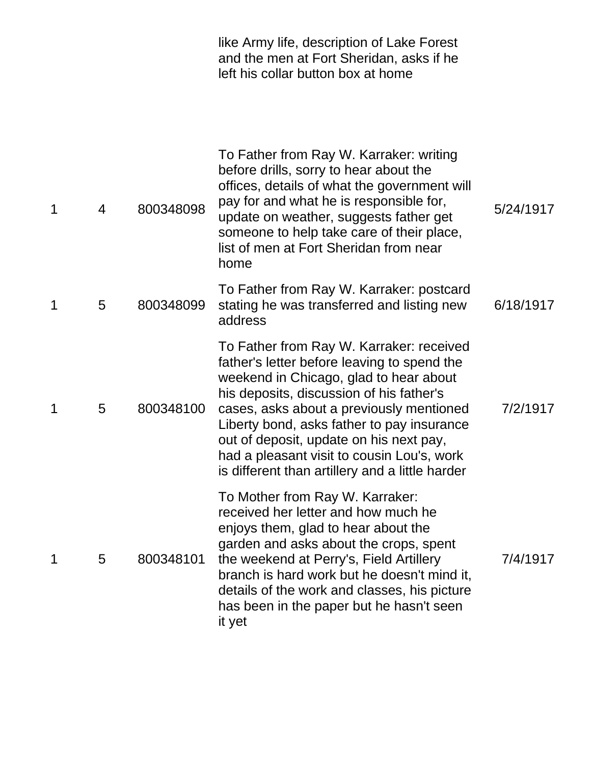|   |   |           | like Army life, description of Lake Forest<br>and the men at Fort Sheridan, asks if he<br>left his collar button box at home                                                                                                                                                                                                                                                                                        |           |
|---|---|-----------|---------------------------------------------------------------------------------------------------------------------------------------------------------------------------------------------------------------------------------------------------------------------------------------------------------------------------------------------------------------------------------------------------------------------|-----------|
| 1 | 4 | 800348098 | To Father from Ray W. Karraker: writing<br>before drills, sorry to hear about the<br>offices, details of what the government will<br>pay for and what he is responsible for,<br>update on weather, suggests father get<br>someone to help take care of their place,<br>list of men at Fort Sheridan from near<br>home                                                                                               | 5/24/1917 |
| 1 | 5 | 800348099 | To Father from Ray W. Karraker: postcard<br>stating he was transferred and listing new<br>address                                                                                                                                                                                                                                                                                                                   | 6/18/1917 |
| 1 | 5 | 800348100 | To Father from Ray W. Karraker: received<br>father's letter before leaving to spend the<br>weekend in Chicago, glad to hear about<br>his deposits, discussion of his father's<br>cases, asks about a previously mentioned<br>Liberty bond, asks father to pay insurance<br>out of deposit, update on his next pay,<br>had a pleasant visit to cousin Lou's, work<br>is different than artillery and a little harder | 7/2/1917  |
| 1 | 5 | 800348101 | To Mother from Ray W. Karraker:<br>received her letter and how much he<br>enjoys them, glad to hear about the<br>garden and asks about the crops, spent<br>the weekend at Perry's, Field Artillery<br>branch is hard work but he doesn't mind it,<br>details of the work and classes, his picture<br>has been in the paper but he hasn't seen<br>it yet                                                             | 7/4/1917  |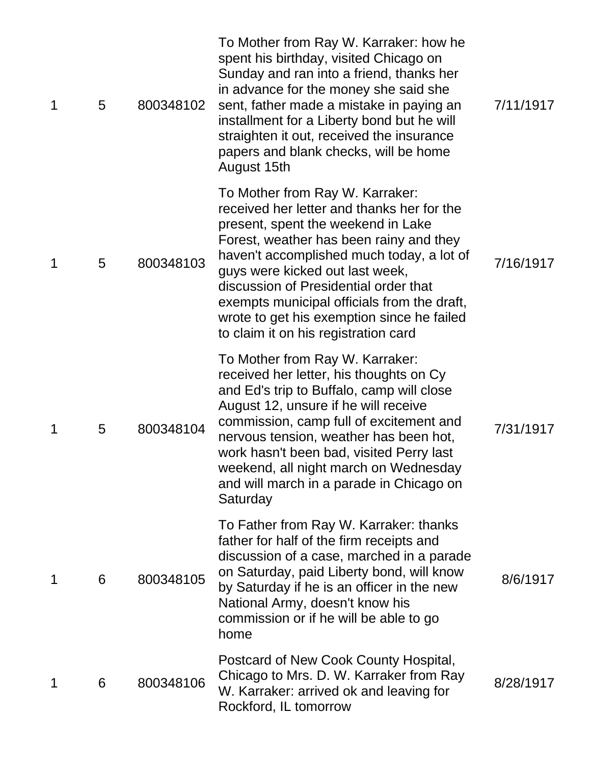| 1 | 5 | 800348102 | To Mother from Ray W. Karraker: how he<br>spent his birthday, visited Chicago on<br>Sunday and ran into a friend, thanks her<br>in advance for the money she said she<br>sent, father made a mistake in paying an<br>installment for a Liberty bond but he will<br>straighten it out, received the insurance<br>papers and blank checks, will be home<br>August 15th                                                         | 7/11/1917 |
|---|---|-----------|------------------------------------------------------------------------------------------------------------------------------------------------------------------------------------------------------------------------------------------------------------------------------------------------------------------------------------------------------------------------------------------------------------------------------|-----------|
| 1 | 5 | 800348103 | To Mother from Ray W. Karraker:<br>received her letter and thanks her for the<br>present, spent the weekend in Lake<br>Forest, weather has been rainy and they<br>haven't accomplished much today, a lot of<br>guys were kicked out last week,<br>discussion of Presidential order that<br>exempts municipal officials from the draft,<br>wrote to get his exemption since he failed<br>to claim it on his registration card | 7/16/1917 |
| 1 | 5 | 800348104 | To Mother from Ray W. Karraker:<br>received her letter, his thoughts on Cy<br>and Ed's trip to Buffalo, camp will close<br>August 12, unsure if he will receive<br>commission, camp full of excitement and<br>nervous tension, weather has been hot,<br>work hasn't been bad, visited Perry last<br>weekend, all night march on Wednesday<br>and will march in a parade in Chicago on<br>Saturday                            | 7/31/1917 |
| 1 | 6 | 800348105 | To Father from Ray W. Karraker: thanks<br>father for half of the firm receipts and<br>discussion of a case, marched in a parade<br>on Saturday, paid Liberty bond, will know<br>by Saturday if he is an officer in the new<br>National Army, doesn't know his<br>commission or if he will be able to go<br>home                                                                                                              | 8/6/1917  |
| 1 | 6 | 800348106 | Postcard of New Cook County Hospital,<br>Chicago to Mrs. D. W. Karraker from Ray<br>W. Karraker: arrived ok and leaving for<br>Rockford, IL tomorrow                                                                                                                                                                                                                                                                         | 8/28/1917 |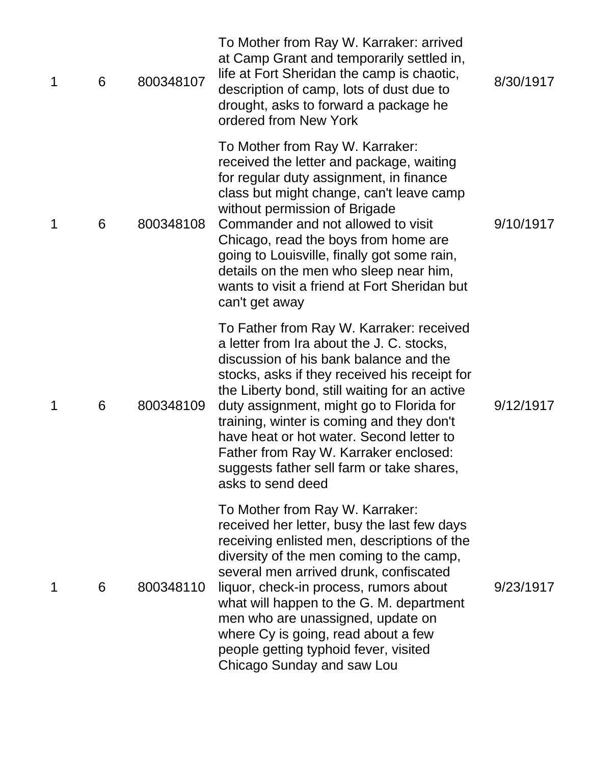| 1 | 6 | 800348107 | To Mother from Ray W. Karraker: arrived<br>at Camp Grant and temporarily settled in,<br>life at Fort Sheridan the camp is chaotic,<br>description of camp, lots of dust due to<br>drought, asks to forward a package he<br>ordered from New York                                                                                                                                                                                                                                  | 8/30/1917 |
|---|---|-----------|-----------------------------------------------------------------------------------------------------------------------------------------------------------------------------------------------------------------------------------------------------------------------------------------------------------------------------------------------------------------------------------------------------------------------------------------------------------------------------------|-----------|
| 1 | 6 | 800348108 | To Mother from Ray W. Karraker:<br>received the letter and package, waiting<br>for regular duty assignment, in finance<br>class but might change, can't leave camp<br>without permission of Brigade<br>Commander and not allowed to visit<br>Chicago, read the boys from home are<br>going to Louisville, finally got some rain,<br>details on the men who sleep near him,<br>wants to visit a friend at Fort Sheridan but<br>can't get away                                      | 9/10/1917 |
| 1 | 6 | 800348109 | To Father from Ray W. Karraker: received<br>a letter from Ira about the J. C. stocks,<br>discussion of his bank balance and the<br>stocks, asks if they received his receipt for<br>the Liberty bond, still waiting for an active<br>duty assignment, might go to Florida for<br>training, winter is coming and they don't<br>have heat or hot water. Second letter to<br>Father from Ray W. Karraker enclosed:<br>suggests father sell farm or take shares,<br>asks to send deed | 9/12/1917 |
| 1 | 6 | 800348110 | To Mother from Ray W. Karraker:<br>received her letter, busy the last few days<br>receiving enlisted men, descriptions of the<br>diversity of the men coming to the camp,<br>several men arrived drunk, confiscated<br>liquor, check-in process, rumors about<br>what will happen to the G. M. department<br>men who are unassigned, update on<br>where Cy is going, read about a few<br>people getting typhoid fever, visited<br>Chicago Sunday and saw Lou                      | 9/23/1917 |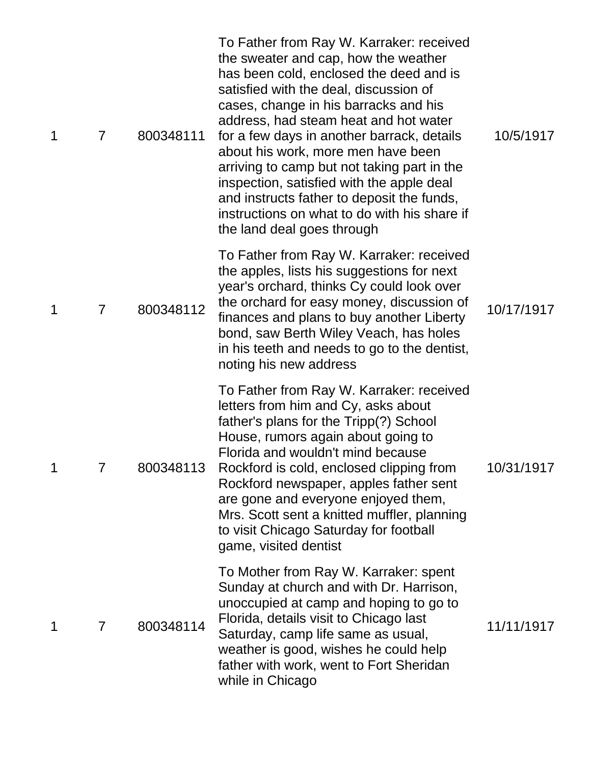| 1 | $\overline{7}$ | 800348111 | To Father from Ray W. Karraker: received<br>the sweater and cap, how the weather<br>has been cold, enclosed the deed and is<br>satisfied with the deal, discussion of<br>cases, change in his barracks and his<br>address, had steam heat and hot water<br>for a few days in another barrack, details<br>about his work, more men have been<br>arriving to camp but not taking part in the<br>inspection, satisfied with the apple deal<br>and instructs father to deposit the funds,<br>instructions on what to do with his share if<br>the land deal goes through | 10/5/1917  |
|---|----------------|-----------|---------------------------------------------------------------------------------------------------------------------------------------------------------------------------------------------------------------------------------------------------------------------------------------------------------------------------------------------------------------------------------------------------------------------------------------------------------------------------------------------------------------------------------------------------------------------|------------|
| 1 | $\overline{7}$ | 800348112 | To Father from Ray W. Karraker: received<br>the apples, lists his suggestions for next<br>year's orchard, thinks Cy could look over<br>the orchard for easy money, discussion of<br>finances and plans to buy another Liberty<br>bond, saw Berth Wiley Veach, has holes<br>in his teeth and needs to go to the dentist,<br>noting his new address                                                                                                                                                                                                                   | 10/17/1917 |
| 1 | 7              | 800348113 | To Father from Ray W. Karraker: received<br>letters from him and Cy, asks about<br>father's plans for the Tripp(?) School<br>House, rumors again about going to<br>Florida and wouldn't mind because<br>Rockford is cold, enclosed clipping from<br>Rockford newspaper, apples father sent<br>are gone and everyone enjoyed them,<br>Mrs. Scott sent a knitted muffler, planning<br>to visit Chicago Saturday for football<br>game, visited dentist                                                                                                                 | 10/31/1917 |
| 1 | $\overline{7}$ | 800348114 | To Mother from Ray W. Karraker: spent<br>Sunday at church and with Dr. Harrison,<br>unoccupied at camp and hoping to go to<br>Florida, details visit to Chicago last<br>Saturday, camp life same as usual,<br>weather is good, wishes he could help<br>father with work, went to Fort Sheridan<br>while in Chicago                                                                                                                                                                                                                                                  | 11/11/1917 |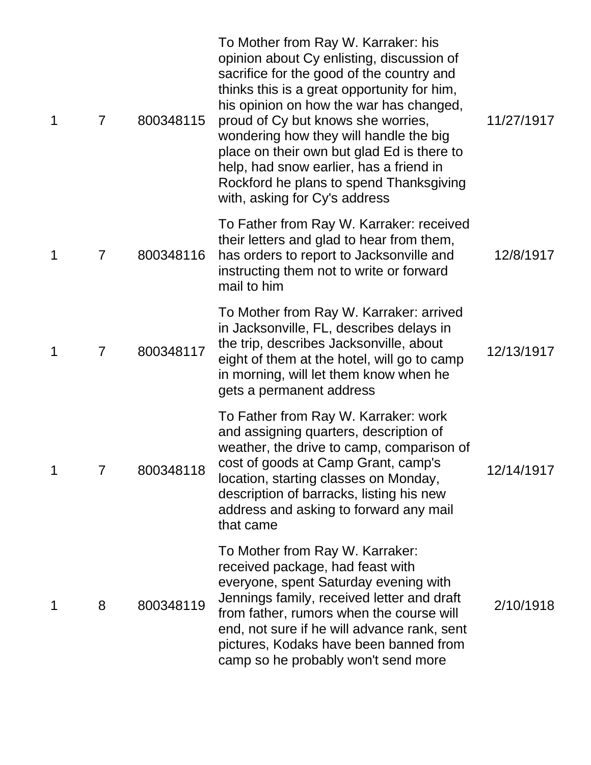| 1 | $\overline{7}$ | 800348115 | To Mother from Ray W. Karraker: his<br>opinion about Cy enlisting, discussion of<br>sacrifice for the good of the country and<br>thinks this is a great opportunity for him,<br>his opinion on how the war has changed,<br>proud of Cy but knows she worries,<br>wondering how they will handle the big<br>place on their own but glad Ed is there to<br>help, had snow earlier, has a friend in<br>Rockford he plans to spend Thanksgiving<br>with, asking for Cy's address | 11/27/1917 |
|---|----------------|-----------|------------------------------------------------------------------------------------------------------------------------------------------------------------------------------------------------------------------------------------------------------------------------------------------------------------------------------------------------------------------------------------------------------------------------------------------------------------------------------|------------|
| 1 | 7              | 800348116 | To Father from Ray W. Karraker: received<br>their letters and glad to hear from them,<br>has orders to report to Jacksonville and<br>instructing them not to write or forward<br>mail to him                                                                                                                                                                                                                                                                                 | 12/8/1917  |
| 1 | $\overline{7}$ | 800348117 | To Mother from Ray W. Karraker: arrived<br>in Jacksonville, FL, describes delays in<br>the trip, describes Jacksonville, about<br>eight of them at the hotel, will go to camp<br>in morning, will let them know when he<br>gets a permanent address                                                                                                                                                                                                                          | 12/13/1917 |
|   |                | 800348118 | To Father from Ray W. Karraker: work<br>and assigning quarters, description of<br>weather, the drive to camp, comparison of<br>cost of goods at Camp Grant, camp's<br>location, starting classes on Monday,<br>description of barracks, listing his new<br>address and asking to forward any mail<br>that came                                                                                                                                                               | 12/14/1917 |
| 1 | 8              | 800348119 | To Mother from Ray W. Karraker:<br>received package, had feast with<br>everyone, spent Saturday evening with<br>Jennings family, received letter and draft<br>from father, rumors when the course will<br>end, not sure if he will advance rank, sent<br>pictures, Kodaks have been banned from<br>camp so he probably won't send more                                                                                                                                       | 2/10/1918  |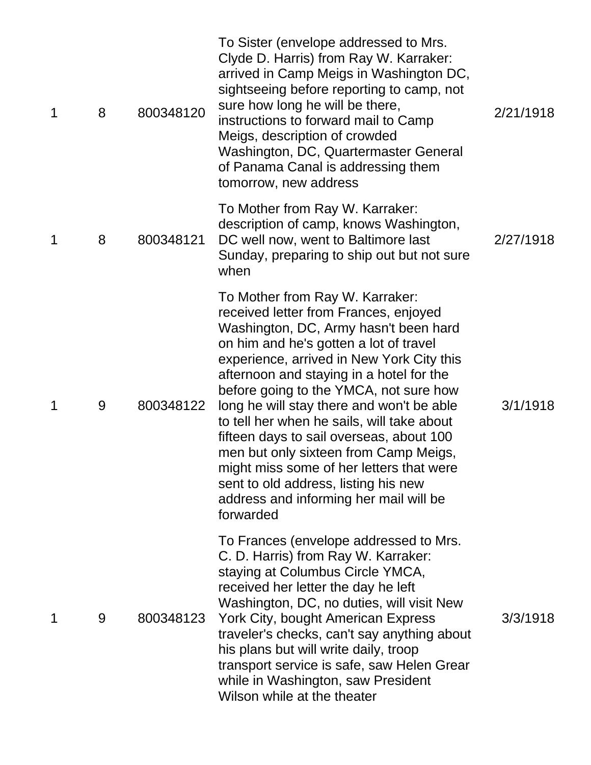| 1 | 8 | 800348120 | To Sister (envelope addressed to Mrs.<br>Clyde D. Harris) from Ray W. Karraker:<br>arrived in Camp Meigs in Washington DC,<br>sightseeing before reporting to camp, not<br>sure how long he will be there,<br>instructions to forward mail to Camp<br>Meigs, description of crowded<br>Washington, DC, Quartermaster General<br>of Panama Canal is addressing them<br>tomorrow, new address                                                                                                                                                                                                                               | 2/21/1918 |
|---|---|-----------|---------------------------------------------------------------------------------------------------------------------------------------------------------------------------------------------------------------------------------------------------------------------------------------------------------------------------------------------------------------------------------------------------------------------------------------------------------------------------------------------------------------------------------------------------------------------------------------------------------------------------|-----------|
| 1 | 8 | 800348121 | To Mother from Ray W. Karraker:<br>description of camp, knows Washington,<br>DC well now, went to Baltimore last<br>Sunday, preparing to ship out but not sure<br>when                                                                                                                                                                                                                                                                                                                                                                                                                                                    | 2/27/1918 |
| 1 | 9 | 800348122 | To Mother from Ray W. Karraker:<br>received letter from Frances, enjoyed<br>Washington, DC, Army hasn't been hard<br>on him and he's gotten a lot of travel<br>experience, arrived in New York City this<br>afternoon and staying in a hotel for the<br>before going to the YMCA, not sure how<br>long he will stay there and won't be able<br>to tell her when he sails, will take about<br>fifteen days to sail overseas, about 100<br>men but only sixteen from Camp Meigs,<br>might miss some of her letters that were<br>sent to old address, listing his new<br>address and informing her mail will be<br>forwarded | 3/1/1918  |
| 1 | 9 | 800348123 | To Frances (envelope addressed to Mrs.<br>C. D. Harris) from Ray W. Karraker:<br>staying at Columbus Circle YMCA,<br>received her letter the day he left<br>Washington, DC, no duties, will visit New<br>York City, bought American Express<br>traveler's checks, can't say anything about<br>his plans but will write daily, troop<br>transport service is safe, saw Helen Grear<br>while in Washington, saw President<br>Wilson while at the theater                                                                                                                                                                    | 3/3/1918  |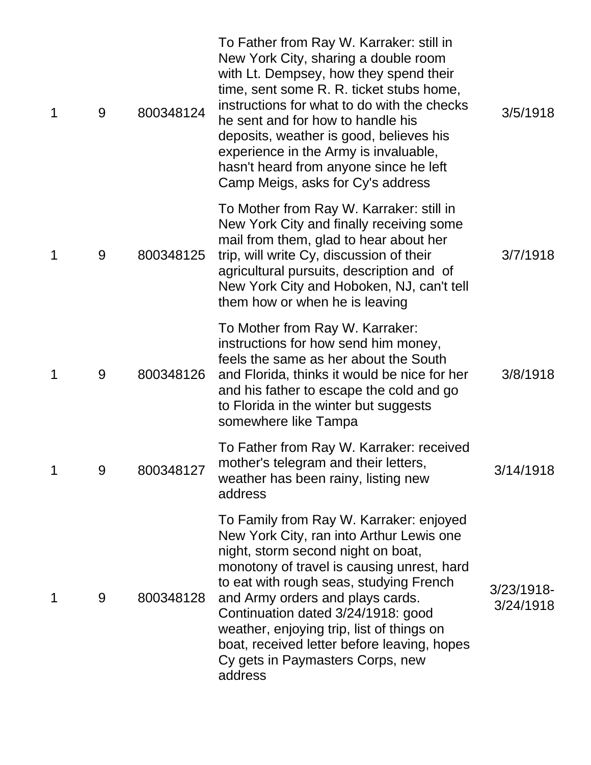| 1 | 9 | 800348124 | To Father from Ray W. Karraker: still in<br>New York City, sharing a double room<br>with Lt. Dempsey, how they spend their<br>time, sent some R. R. ticket stubs home,<br>instructions for what to do with the checks<br>he sent and for how to handle his<br>deposits, weather is good, believes his<br>experience in the Army is invaluable,<br>hasn't heard from anyone since he left<br>Camp Meigs, asks for Cy's address           | 3/5/1918                   |
|---|---|-----------|-----------------------------------------------------------------------------------------------------------------------------------------------------------------------------------------------------------------------------------------------------------------------------------------------------------------------------------------------------------------------------------------------------------------------------------------|----------------------------|
| 1 | 9 | 800348125 | To Mother from Ray W. Karraker: still in<br>New York City and finally receiving some<br>mail from them, glad to hear about her<br>trip, will write Cy, discussion of their<br>agricultural pursuits, description and of<br>New York City and Hoboken, NJ, can't tell<br>them how or when he is leaving                                                                                                                                  | 3/7/1918                   |
| 1 | 9 | 800348126 | To Mother from Ray W. Karraker:<br>instructions for how send him money,<br>feels the same as her about the South<br>and Florida, thinks it would be nice for her<br>and his father to escape the cold and go<br>to Florida in the winter but suggests<br>somewhere like Tampa                                                                                                                                                           | 3/8/1918                   |
|   | 9 | 800348127 | To Father from Ray W. Karraker: received<br>mother's telegram and their letters,<br>weather has been rainy, listing new<br>address                                                                                                                                                                                                                                                                                                      | 3/14/1918                  |
| 1 | 9 | 800348128 | To Family from Ray W. Karraker: enjoyed<br>New York City, ran into Arthur Lewis one<br>night, storm second night on boat,<br>monotony of travel is causing unrest, hard<br>to eat with rough seas, studying French<br>and Army orders and plays cards.<br>Continuation dated 3/24/1918: good<br>weather, enjoying trip, list of things on<br>boat, received letter before leaving, hopes<br>Cy gets in Paymasters Corps, new<br>address | $3/23/1918$ -<br>3/24/1918 |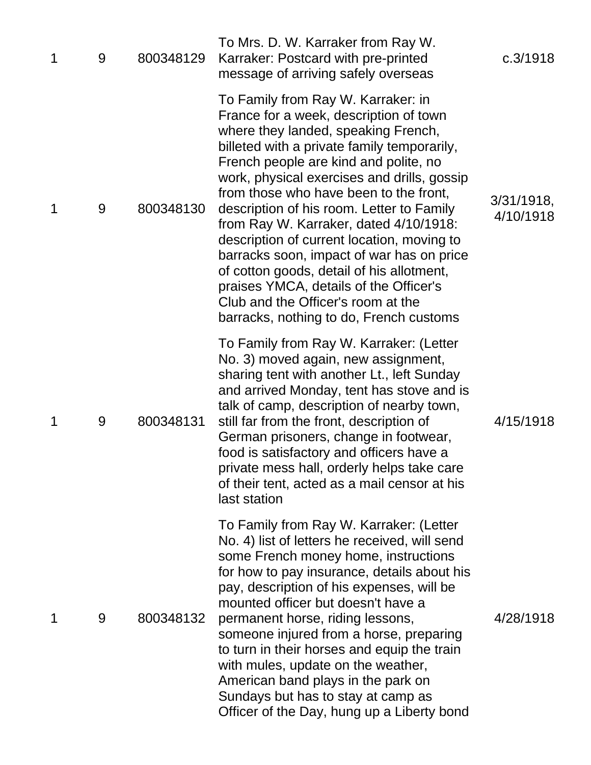| 1 | 9 | 800348129 | To Mrs. D. W. Karraker from Ray W.<br>Karraker: Postcard with pre-printed<br>message of arriving safely overseas                                                                                                                                                                                                                                                                                                                                                                                                                                                                                                                                               | c.3/1918                   |
|---|---|-----------|----------------------------------------------------------------------------------------------------------------------------------------------------------------------------------------------------------------------------------------------------------------------------------------------------------------------------------------------------------------------------------------------------------------------------------------------------------------------------------------------------------------------------------------------------------------------------------------------------------------------------------------------------------------|----------------------------|
| 1 | 9 | 800348130 | To Family from Ray W. Karraker: in<br>France for a week, description of town<br>where they landed, speaking French,<br>billeted with a private family temporarily,<br>French people are kind and polite, no<br>work, physical exercises and drills, gossip<br>from those who have been to the front,<br>description of his room. Letter to Family<br>from Ray W. Karraker, dated 4/10/1918:<br>description of current location, moving to<br>barracks soon, impact of war has on price<br>of cotton goods, detail of his allotment,<br>praises YMCA, details of the Officer's<br>Club and the Officer's room at the<br>barracks, nothing to do, French customs | $3/31/1918$ ,<br>4/10/1918 |
| 1 | 9 | 800348131 | To Family from Ray W. Karraker: (Letter<br>No. 3) moved again, new assignment,<br>sharing tent with another Lt., left Sunday<br>and arrived Monday, tent has stove and is<br>talk of camp, description of nearby town,<br>still far from the front, description of<br>German prisoners, change in footwear,<br>food is satisfactory and officers have a<br>private mess hall, orderly helps take care<br>of their tent, acted as a mail censor at his<br>last station                                                                                                                                                                                          | 4/15/1918                  |
| 1 | 9 | 800348132 | To Family from Ray W. Karraker: (Letter<br>No. 4) list of letters he received, will send<br>some French money home, instructions<br>for how to pay insurance, details about his<br>pay, description of his expenses, will be<br>mounted officer but doesn't have a<br>permanent horse, riding lessons,<br>someone injured from a horse, preparing<br>to turn in their horses and equip the train<br>with mules, update on the weather,<br>American band plays in the park on<br>Sundays but has to stay at camp as<br>Officer of the Day, hung up a Liberty bond                                                                                               | 4/28/1918                  |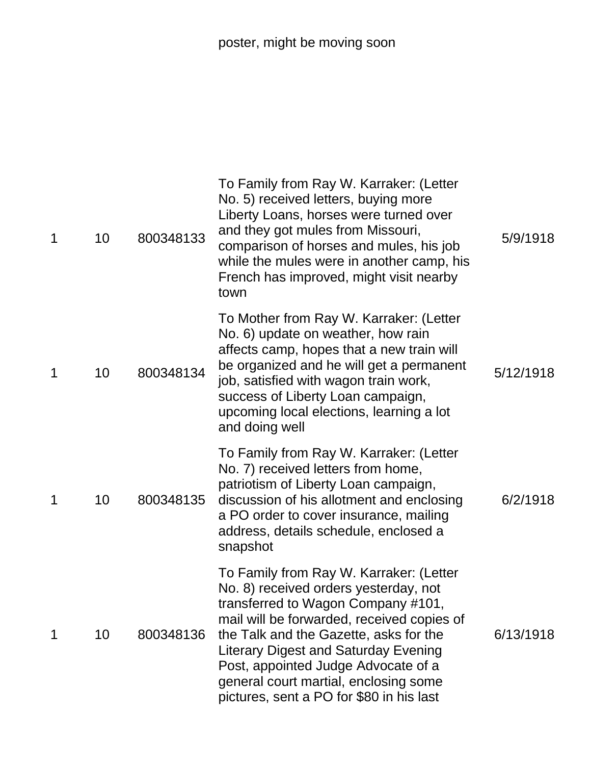| 1 | 10 | 800348133 | To Family from Ray W. Karraker: (Letter<br>No. 5) received letters, buying more<br>Liberty Loans, horses were turned over<br>and they got mules from Missouri,<br>comparison of horses and mules, his job<br>while the mules were in another camp, his<br>French has improved, might visit nearby<br>town                                                                                 | 5/9/1918  |
|---|----|-----------|-------------------------------------------------------------------------------------------------------------------------------------------------------------------------------------------------------------------------------------------------------------------------------------------------------------------------------------------------------------------------------------------|-----------|
| 1 | 10 | 800348134 | To Mother from Ray W. Karraker: (Letter<br>No. 6) update on weather, how rain<br>affects camp, hopes that a new train will<br>be organized and he will get a permanent<br>job, satisfied with wagon train work,<br>success of Liberty Loan campaign,<br>upcoming local elections, learning a lot<br>and doing well                                                                        | 5/12/1918 |
| 1 | 10 | 800348135 | To Family from Ray W. Karraker: (Letter<br>No. 7) received letters from home,<br>patriotism of Liberty Loan campaign,<br>discussion of his allotment and enclosing<br>a PO order to cover insurance, mailing<br>address, details schedule, enclosed a<br>snapshot                                                                                                                         | 6/2/1918  |
| 1 | 10 | 800348136 | To Family from Ray W. Karraker: (Letter<br>No. 8) received orders yesterday, not<br>transferred to Wagon Company #101,<br>mail will be forwarded, received copies of<br>the Talk and the Gazette, asks for the<br><b>Literary Digest and Saturday Evening</b><br>Post, appointed Judge Advocate of a<br>general court martial, enclosing some<br>pictures, sent a PO for \$80 in his last | 6/13/1918 |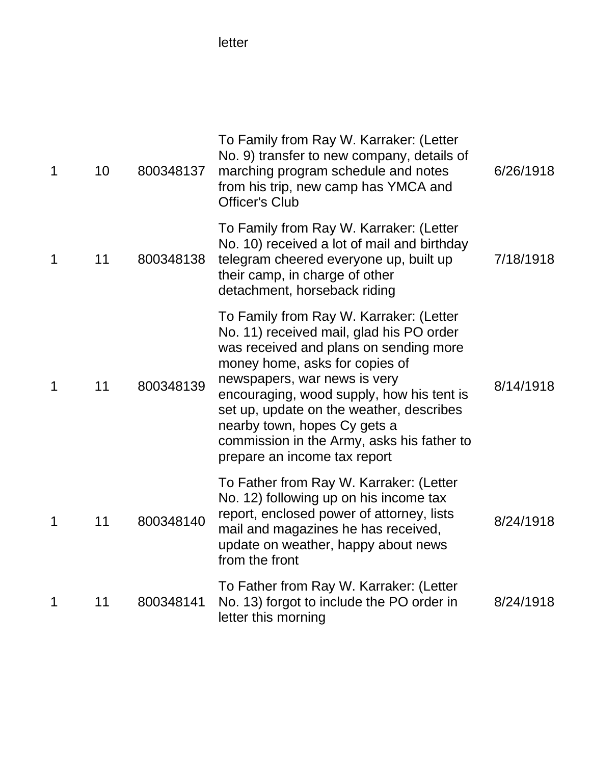letter

| 1 | 10 | 800348137 | To Family from Ray W. Karraker: (Letter<br>No. 9) transfer to new company, details of<br>marching program schedule and notes<br>from his trip, new camp has YMCA and<br><b>Officer's Club</b>                                                                                                                                                                                                          | 6/26/1918 |
|---|----|-----------|--------------------------------------------------------------------------------------------------------------------------------------------------------------------------------------------------------------------------------------------------------------------------------------------------------------------------------------------------------------------------------------------------------|-----------|
| 1 | 11 | 800348138 | To Family from Ray W. Karraker: (Letter<br>No. 10) received a lot of mail and birthday<br>telegram cheered everyone up, built up<br>their camp, in charge of other<br>detachment, horseback riding                                                                                                                                                                                                     | 7/18/1918 |
| 1 | 11 | 800348139 | To Family from Ray W. Karraker: (Letter<br>No. 11) received mail, glad his PO order<br>was received and plans on sending more<br>money home, asks for copies of<br>newspapers, war news is very<br>encouraging, wood supply, how his tent is<br>set up, update on the weather, describes<br>nearby town, hopes Cy gets a<br>commission in the Army, asks his father to<br>prepare an income tax report | 8/14/1918 |
| 1 | 11 | 800348140 | To Father from Ray W. Karraker: (Letter<br>No. 12) following up on his income tax<br>report, enclosed power of attorney, lists<br>mail and magazines he has received,<br>update on weather, happy about news<br>from the front                                                                                                                                                                         | 8/24/1918 |
| 1 | 11 | 800348141 | To Father from Ray W. Karraker: (Letter<br>No. 13) forgot to include the PO order in<br>letter this morning                                                                                                                                                                                                                                                                                            | 8/24/1918 |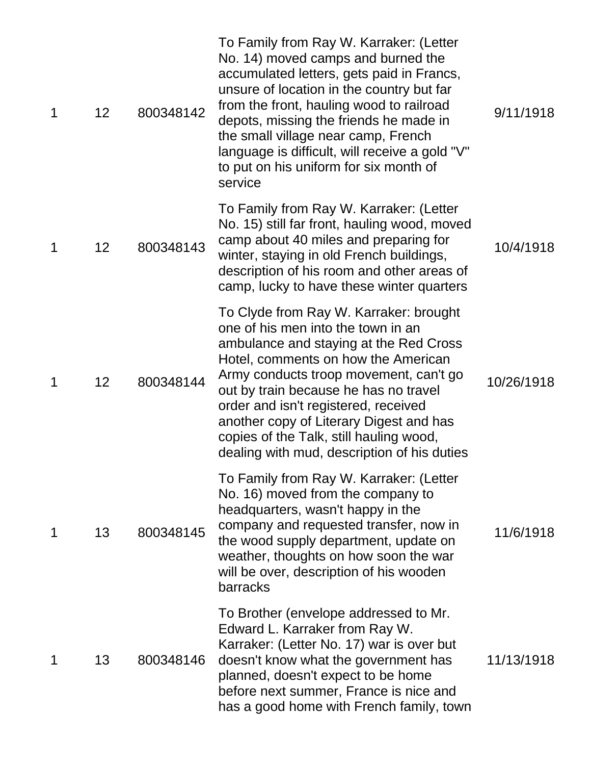| 1 | 12 | 800348142 | To Family from Ray W. Karraker: (Letter<br>No. 14) moved camps and burned the<br>accumulated letters, gets paid in Francs,<br>unsure of location in the country but far<br>from the front, hauling wood to railroad<br>depots, missing the friends he made in<br>the small village near camp, French<br>language is difficult, will receive a gold "V"<br>to put on his uniform for six month of<br>service                   | 9/11/1918  |
|---|----|-----------|-------------------------------------------------------------------------------------------------------------------------------------------------------------------------------------------------------------------------------------------------------------------------------------------------------------------------------------------------------------------------------------------------------------------------------|------------|
| 1 | 12 | 800348143 | To Family from Ray W. Karraker: (Letter<br>No. 15) still far front, hauling wood, moved<br>camp about 40 miles and preparing for<br>winter, staying in old French buildings,<br>description of his room and other areas of<br>camp, lucky to have these winter quarters                                                                                                                                                       | 10/4/1918  |
| 1 | 12 | 800348144 | To Clyde from Ray W. Karraker: brought<br>one of his men into the town in an<br>ambulance and staying at the Red Cross<br>Hotel, comments on how the American<br>Army conducts troop movement, can't go<br>out by train because he has no travel<br>order and isn't registered, received<br>another copy of Literary Digest and has<br>copies of the Talk, still hauling wood,<br>dealing with mud, description of his duties | 10/26/1918 |
| 1 | 13 | 800348145 | To Family from Ray W. Karraker: (Letter<br>No. 16) moved from the company to<br>headquarters, wasn't happy in the<br>company and requested transfer, now in<br>the wood supply department, update on<br>weather, thoughts on how soon the war<br>will be over, description of his wooden<br>barracks                                                                                                                          | 11/6/1918  |
| 1 | 13 | 800348146 | To Brother (envelope addressed to Mr.<br>Edward L. Karraker from Ray W.<br>Karraker: (Letter No. 17) war is over but<br>doesn't know what the government has<br>planned, doesn't expect to be home<br>before next summer, France is nice and<br>has a good home with French family, town                                                                                                                                      | 11/13/1918 |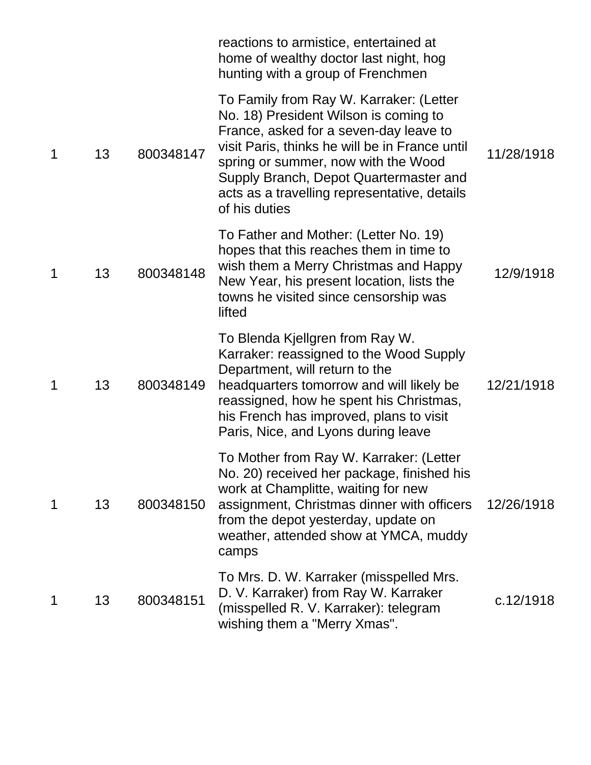|   |    |           | reactions to armistice, entertained at<br>home of wealthy doctor last night, hog<br>hunting with a group of Frenchmen                                                                                                                                                                                                          |            |
|---|----|-----------|--------------------------------------------------------------------------------------------------------------------------------------------------------------------------------------------------------------------------------------------------------------------------------------------------------------------------------|------------|
| 1 | 13 | 800348147 | To Family from Ray W. Karraker: (Letter<br>No. 18) President Wilson is coming to<br>France, asked for a seven-day leave to<br>visit Paris, thinks he will be in France until<br>spring or summer, now with the Wood<br>Supply Branch, Depot Quartermaster and<br>acts as a travelling representative, details<br>of his duties | 11/28/1918 |
| 1 | 13 | 800348148 | To Father and Mother: (Letter No. 19)<br>hopes that this reaches them in time to<br>wish them a Merry Christmas and Happy<br>New Year, his present location, lists the<br>towns he visited since censorship was<br>lifted                                                                                                      | 12/9/1918  |
| 1 | 13 | 800348149 | To Blenda Kjellgren from Ray W.<br>Karraker: reassigned to the Wood Supply<br>Department, will return to the<br>headquarters tomorrow and will likely be<br>reassigned, how he spent his Christmas,<br>his French has improved, plans to visit<br>Paris, Nice, and Lyons during leave                                          | 12/21/1918 |
| 1 | 13 | 800348150 | To Mother from Ray W. Karraker: (Letter<br>No. 20) received her package, finished his<br>work at Champlitte, waiting for new<br>assignment, Christmas dinner with officers<br>from the depot yesterday, update on<br>weather, attended show at YMCA, muddy<br>camps                                                            | 12/26/1918 |
| 1 | 13 | 800348151 | To Mrs. D. W. Karraker (misspelled Mrs.<br>D. V. Karraker) from Ray W. Karraker<br>(misspelled R. V. Karraker): telegram<br>wishing them a "Merry Xmas".                                                                                                                                                                       | c.12/1918  |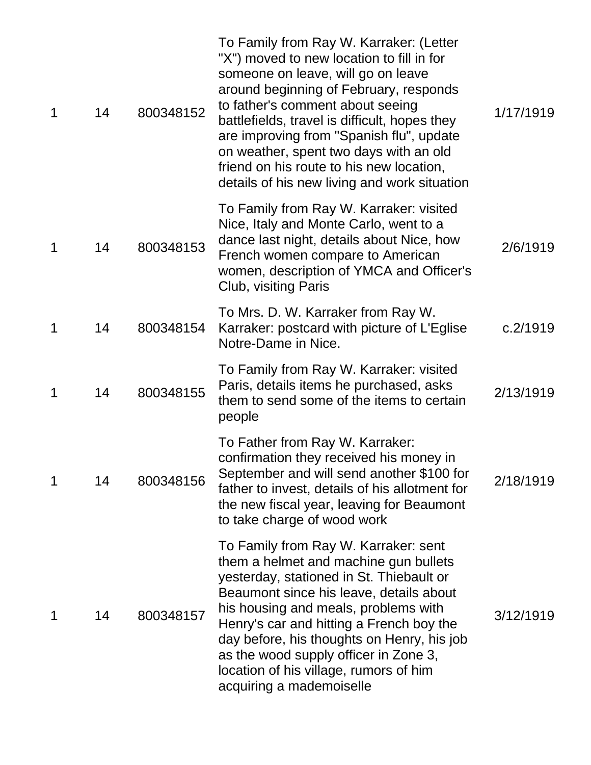| 1 | 14 | 800348152 | To Family from Ray W. Karraker: (Letter<br>"X") moved to new location to fill in for<br>someone on leave, will go on leave<br>around beginning of February, responds<br>to father's comment about seeing<br>battlefields, travel is difficult, hopes they<br>are improving from "Spanish flu", update<br>on weather, spent two days with an old<br>friend on his route to his new location,<br>details of his new living and work situation | 1/17/1919 |
|---|----|-----------|---------------------------------------------------------------------------------------------------------------------------------------------------------------------------------------------------------------------------------------------------------------------------------------------------------------------------------------------------------------------------------------------------------------------------------------------|-----------|
| 1 | 14 | 800348153 | To Family from Ray W. Karraker: visited<br>Nice, Italy and Monte Carlo, went to a<br>dance last night, details about Nice, how<br>French women compare to American<br>women, description of YMCA and Officer's<br>Club, visiting Paris                                                                                                                                                                                                      | 2/6/1919  |
| 1 | 14 | 800348154 | To Mrs. D. W. Karraker from Ray W.<br>Karraker: postcard with picture of L'Eglise<br>Notre-Dame in Nice.                                                                                                                                                                                                                                                                                                                                    | c.2/1919  |
| 1 | 14 | 800348155 | To Family from Ray W. Karraker: visited<br>Paris, details items he purchased, asks<br>them to send some of the items to certain<br>people                                                                                                                                                                                                                                                                                                   | 2/13/1919 |
| 1 | 14 | 800348156 | To Father from Ray W. Karraker:<br>confirmation they received his money in<br>September and will send another \$100 for<br>father to invest, details of his allotment for<br>the new fiscal year, leaving for Beaumont<br>to take charge of wood work                                                                                                                                                                                       | 2/18/1919 |
| 1 | 14 | 800348157 | To Family from Ray W. Karraker: sent<br>them a helmet and machine gun bullets<br>yesterday, stationed in St. Thiebault or<br>Beaumont since his leave, details about<br>his housing and meals, problems with<br>Henry's car and hitting a French boy the<br>day before, his thoughts on Henry, his job<br>as the wood supply officer in Zone 3,<br>location of his village, rumors of him<br>acquiring a mademoiselle                       | 3/12/1919 |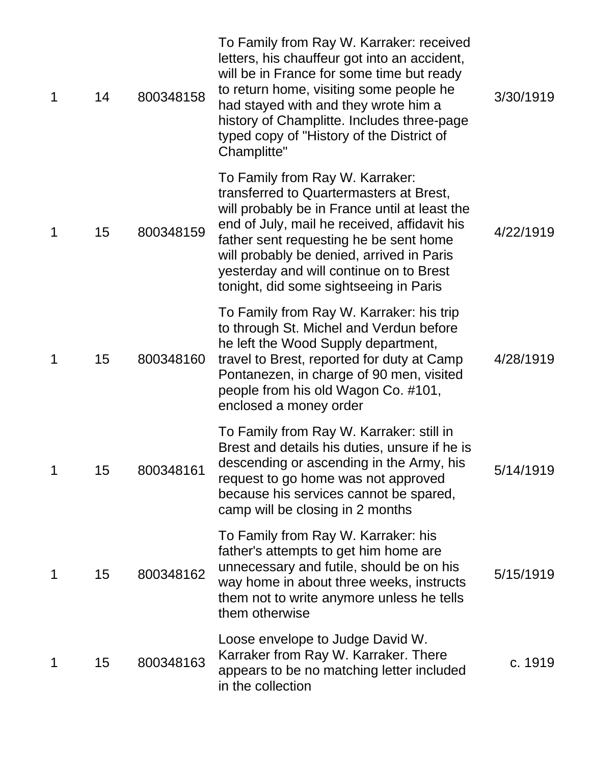| 1 | 14 | 800348158 | To Family from Ray W. Karraker: received<br>letters, his chauffeur got into an accident,<br>will be in France for some time but ready<br>to return home, visiting some people he<br>had stayed with and they wrote him a<br>history of Champlitte. Includes three-page<br>typed copy of "History of the District of<br>Champlitte"                      | 3/30/1919 |
|---|----|-----------|---------------------------------------------------------------------------------------------------------------------------------------------------------------------------------------------------------------------------------------------------------------------------------------------------------------------------------------------------------|-----------|
| 1 | 15 | 800348159 | To Family from Ray W. Karraker:<br>transferred to Quartermasters at Brest,<br>will probably be in France until at least the<br>end of July, mail he received, affidavit his<br>father sent requesting he be sent home<br>will probably be denied, arrived in Paris<br>yesterday and will continue on to Brest<br>tonight, did some sightseeing in Paris | 4/22/1919 |
| 1 | 15 | 800348160 | To Family from Ray W. Karraker: his trip<br>to through St. Michel and Verdun before<br>he left the Wood Supply department,<br>travel to Brest, reported for duty at Camp<br>Pontanezen, in charge of 90 men, visited<br>people from his old Wagon Co. #101,<br>enclosed a money order                                                                   | 4/28/1919 |
|   | 15 | 800348161 | To Family from Ray W. Karraker: still in<br>Brest and details his duties, unsure if he is<br>descending or ascending in the Army, his<br>request to go home was not approved<br>because his services cannot be spared,<br>camp will be closing in 2 months                                                                                              | 5/14/1919 |
| 1 | 15 | 800348162 | To Family from Ray W. Karraker: his<br>father's attempts to get him home are<br>unnecessary and futile, should be on his<br>way home in about three weeks, instructs<br>them not to write anymore unless he tells<br>them otherwise                                                                                                                     | 5/15/1919 |
| 1 | 15 | 800348163 | Loose envelope to Judge David W.<br>Karraker from Ray W. Karraker. There<br>appears to be no matching letter included<br>in the collection                                                                                                                                                                                                              | c. 1919   |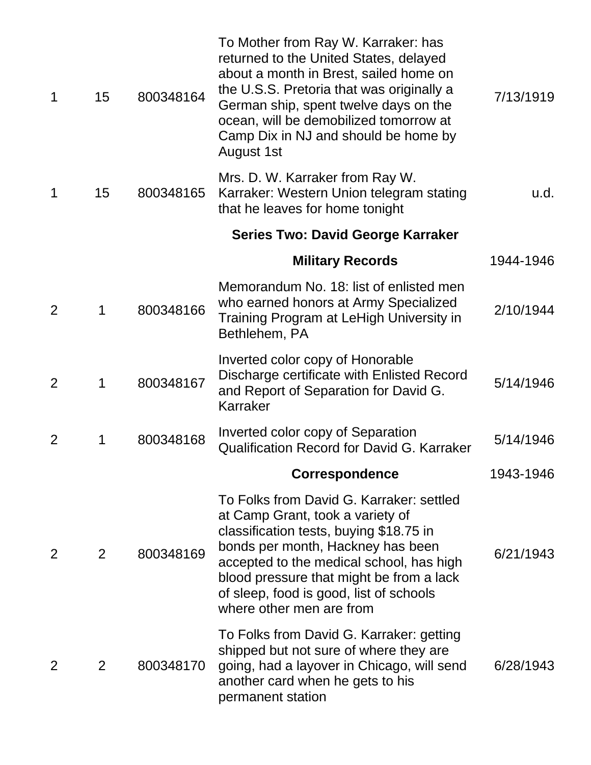| 1              | 15             | 800348164 | To Mother from Ray W. Karraker: has<br>returned to the United States, delayed<br>about a month in Brest, sailed home on<br>the U.S.S. Pretoria that was originally a<br>German ship, spent twelve days on the<br>ocean, will be demobilized tomorrow at<br>Camp Dix in NJ and should be home by<br>August 1st               | 7/13/1919 |
|----------------|----------------|-----------|-----------------------------------------------------------------------------------------------------------------------------------------------------------------------------------------------------------------------------------------------------------------------------------------------------------------------------|-----------|
| 1              | 15             | 800348165 | Mrs. D. W. Karraker from Ray W.<br>Karraker: Western Union telegram stating<br>that he leaves for home tonight                                                                                                                                                                                                              | u.d.      |
|                |                |           | <b>Series Two: David George Karraker</b>                                                                                                                                                                                                                                                                                    |           |
|                |                |           | <b>Military Records</b>                                                                                                                                                                                                                                                                                                     | 1944-1946 |
| $\overline{2}$ | 1              | 800348166 | Memorandum No. 18: list of enlisted men<br>who earned honors at Army Specialized<br>Training Program at LeHigh University in<br>Bethlehem, PA                                                                                                                                                                               | 2/10/1944 |
| $\overline{2}$ | 1              | 800348167 | Inverted color copy of Honorable<br>Discharge certificate with Enlisted Record<br>and Report of Separation for David G.<br>Karraker                                                                                                                                                                                         | 5/14/1946 |
| 2              | 1              | 800348168 | Inverted color copy of Separation<br><b>Qualification Record for David G. Karraker</b>                                                                                                                                                                                                                                      | 5/14/1946 |
|                |                |           | Correspondence                                                                                                                                                                                                                                                                                                              | 1943-1946 |
| $\overline{2}$ | 2              | 800348169 | To Folks from David G. Karraker: settled<br>at Camp Grant, took a variety of<br>classification tests, buying \$18.75 in<br>bonds per month, Hackney has been<br>accepted to the medical school, has high<br>blood pressure that might be from a lack<br>of sleep, food is good, list of schools<br>where other men are from | 6/21/1943 |
| 2              | $\overline{2}$ | 800348170 | To Folks from David G. Karraker: getting<br>shipped but not sure of where they are<br>going, had a layover in Chicago, will send<br>another card when he gets to his<br>permanent station                                                                                                                                   | 6/28/1943 |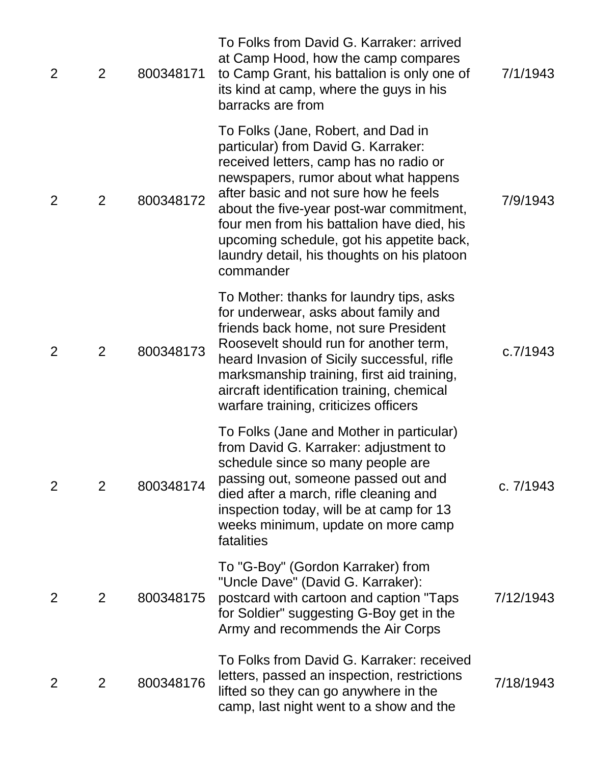| $\overline{2}$ | $\overline{2}$ | 800348171 | To Folks from David G. Karraker: arrived<br>at Camp Hood, how the camp compares<br>to Camp Grant, his battalion is only one of<br>its kind at camp, where the guys in his<br>barracks are from                                                                                                                                                                                                          | 7/1/1943  |
|----------------|----------------|-----------|---------------------------------------------------------------------------------------------------------------------------------------------------------------------------------------------------------------------------------------------------------------------------------------------------------------------------------------------------------------------------------------------------------|-----------|
| 2              | 2              | 800348172 | To Folks (Jane, Robert, and Dad in<br>particular) from David G. Karraker:<br>received letters, camp has no radio or<br>newspapers, rumor about what happens<br>after basic and not sure how he feels<br>about the five-year post-war commitment,<br>four men from his battalion have died, his<br>upcoming schedule, got his appetite back,<br>laundry detail, his thoughts on his platoon<br>commander | 7/9/1943  |
| 2              | 2              | 800348173 | To Mother: thanks for laundry tips, asks<br>for underwear, asks about family and<br>friends back home, not sure President<br>Roosevelt should run for another term,<br>heard Invasion of Sicily successful, rifle<br>marksmanship training, first aid training,<br>aircraft identification training, chemical<br>warfare training, criticizes officers                                                  | c.7/1943  |
| $\overline{2}$ | 2              | 800348174 | To Folks (Jane and Mother in particular)<br>from David G. Karraker: adjustment to<br>schedule since so many people are<br>passing out, someone passed out and<br>died after a march, rifle cleaning and<br>inspection today, will be at camp for 13<br>weeks minimum, update on more camp<br>fatalities                                                                                                 | c. 7/1943 |
| 2              | 2              | 800348175 | To "G-Boy" (Gordon Karraker) from<br>"Uncle Dave" (David G. Karraker):<br>postcard with cartoon and caption "Taps<br>for Soldier" suggesting G-Boy get in the<br>Army and recommends the Air Corps                                                                                                                                                                                                      | 7/12/1943 |
| $\overline{2}$ | $\overline{2}$ | 800348176 | To Folks from David G. Karraker: received<br>letters, passed an inspection, restrictions<br>lifted so they can go anywhere in the<br>camp, last night went to a show and the                                                                                                                                                                                                                            | 7/18/1943 |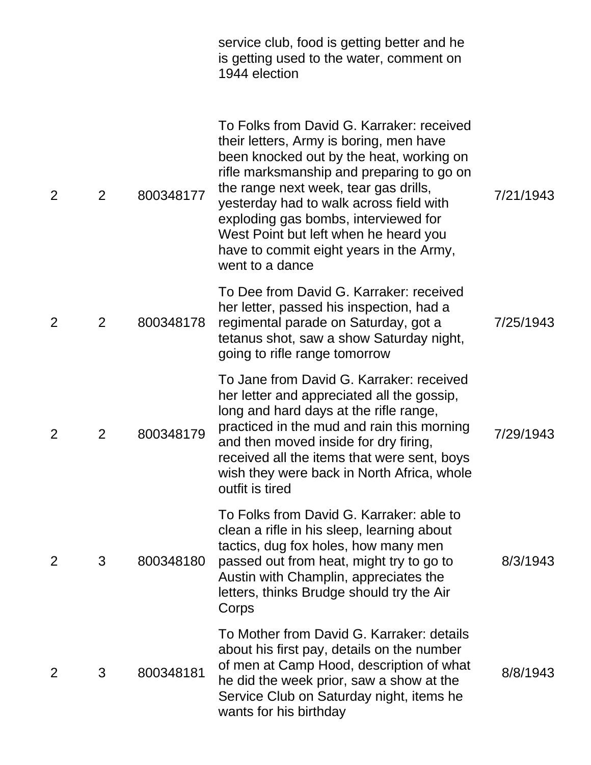|   |                |           | service club, food is getting better and he<br>is getting used to the water, comment on<br>1944 election                                                                                                                                                                                                                                                                                                         |           |
|---|----------------|-----------|------------------------------------------------------------------------------------------------------------------------------------------------------------------------------------------------------------------------------------------------------------------------------------------------------------------------------------------------------------------------------------------------------------------|-----------|
| 2 | $\overline{2}$ | 800348177 | To Folks from David G. Karraker: received<br>their letters, Army is boring, men have<br>been knocked out by the heat, working on<br>rifle marksmanship and preparing to go on<br>the range next week, tear gas drills,<br>yesterday had to walk across field with<br>exploding gas bombs, interviewed for<br>West Point but left when he heard you<br>have to commit eight years in the Army,<br>went to a dance | 7/21/1943 |
| 2 | 2              | 800348178 | To Dee from David G. Karraker: received<br>her letter, passed his inspection, had a<br>regimental parade on Saturday, got a<br>tetanus shot, saw a show Saturday night,<br>going to rifle range tomorrow                                                                                                                                                                                                         | 7/25/1943 |
| 2 | $\overline{2}$ | 800348179 | To Jane from David G. Karraker: received<br>her letter and appreciated all the gossip,<br>long and hard days at the rifle range,<br>practiced in the mud and rain this morning<br>and then moved inside for dry firing,<br>received all the items that were sent, boys<br>wish they were back in North Africa, whole<br>outfit is tired                                                                          | 7/29/1943 |
| 2 | 3              | 800348180 | To Folks from David G. Karraker: able to<br>clean a rifle in his sleep, learning about<br>tactics, dug fox holes, how many men<br>passed out from heat, might try to go to<br>Austin with Champlin, appreciates the<br>letters, thinks Brudge should try the Air<br>Corps                                                                                                                                        | 8/3/1943  |
| 2 | 3              | 800348181 | To Mother from David G. Karraker: details<br>about his first pay, details on the number<br>of men at Camp Hood, description of what<br>he did the week prior, saw a show at the<br>Service Club on Saturday night, items he<br>wants for his birthday                                                                                                                                                            | 8/8/1943  |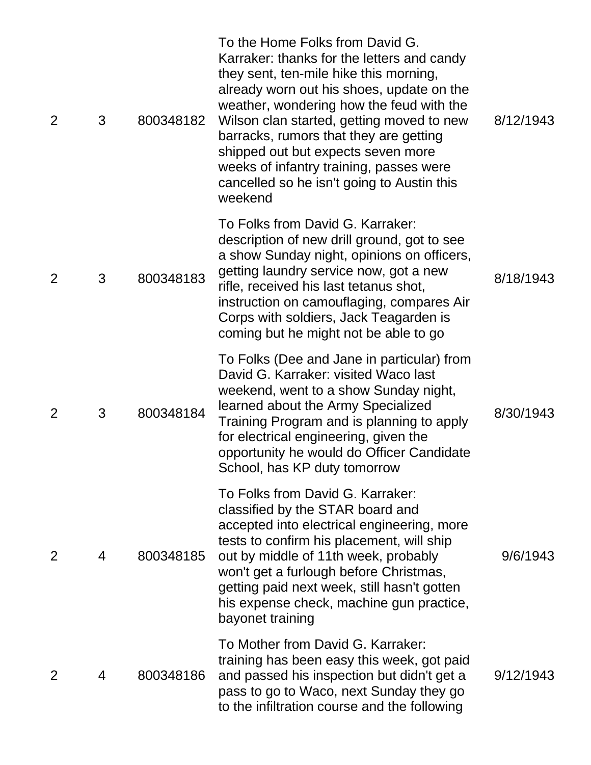| 2 | 3 | 800348182 | To the Home Folks from David G.<br>Karraker: thanks for the letters and candy<br>they sent, ten-mile hike this morning,<br>already worn out his shoes, update on the<br>weather, wondering how the feud with the<br>Wilson clan started, getting moved to new<br>barracks, rumors that they are getting<br>shipped out but expects seven more<br>weeks of infantry training, passes were<br>cancelled so he isn't going to Austin this<br>weekend | 8/12/1943 |
|---|---|-----------|---------------------------------------------------------------------------------------------------------------------------------------------------------------------------------------------------------------------------------------------------------------------------------------------------------------------------------------------------------------------------------------------------------------------------------------------------|-----------|
| 2 | 3 | 800348183 | To Folks from David G. Karraker:<br>description of new drill ground, got to see<br>a show Sunday night, opinions on officers,<br>getting laundry service now, got a new<br>rifle, received his last tetanus shot,<br>instruction on camouflaging, compares Air<br>Corps with soldiers, Jack Teagarden is<br>coming but he might not be able to go                                                                                                 | 8/18/1943 |
| 2 | 3 | 800348184 | To Folks (Dee and Jane in particular) from<br>David G. Karraker: visited Waco last<br>weekend, went to a show Sunday night,<br>learned about the Army Specialized<br>Training Program and is planning to apply<br>for electrical engineering, given the<br>opportunity he would do Officer Candidate<br>School, has KP duty tomorrow                                                                                                              | 8/30/1943 |
| 2 | 4 | 800348185 | To Folks from David G. Karraker:<br>classified by the STAR board and<br>accepted into electrical engineering, more<br>tests to confirm his placement, will ship<br>out by middle of 11th week, probably<br>won't get a furlough before Christmas,<br>getting paid next week, still hasn't gotten<br>his expense check, machine gun practice,<br>bayonet training                                                                                  | 9/6/1943  |
| 2 | 4 | 800348186 | To Mother from David G. Karraker:<br>training has been easy this week, got paid<br>and passed his inspection but didn't get a<br>pass to go to Waco, next Sunday they go<br>to the infiltration course and the following                                                                                                                                                                                                                          | 9/12/1943 |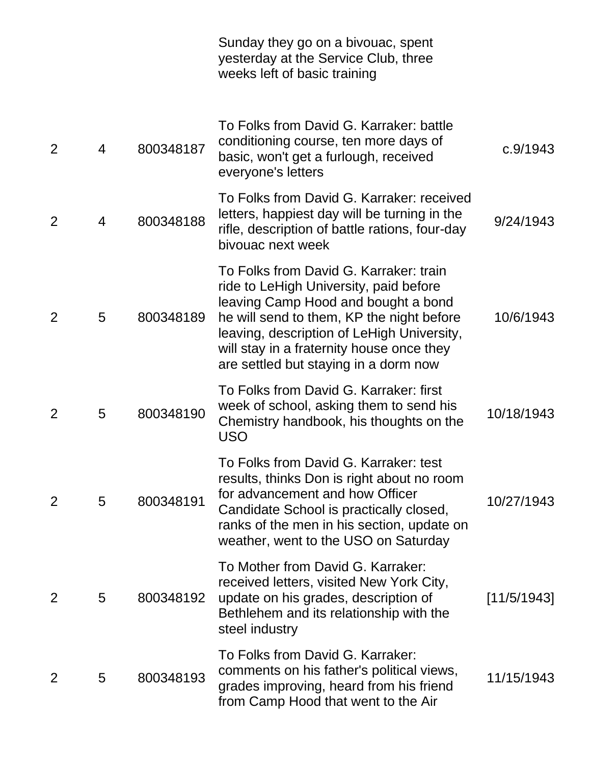|                |   |           | Sunday they go on a bivouac, spent<br>yesterday at the Service Club, three<br>weeks left of basic training                                                                                                                                                                                               |             |
|----------------|---|-----------|----------------------------------------------------------------------------------------------------------------------------------------------------------------------------------------------------------------------------------------------------------------------------------------------------------|-------------|
| $\overline{2}$ | 4 | 800348187 | To Folks from David G. Karraker: battle<br>conditioning course, ten more days of<br>basic, won't get a furlough, received<br>everyone's letters                                                                                                                                                          | c.9/1943    |
| $\overline{2}$ | 4 | 800348188 | To Folks from David G. Karraker: received<br>letters, happiest day will be turning in the<br>rifle, description of battle rations, four-day<br>bivouac next week                                                                                                                                         | 9/24/1943   |
| 2              | 5 | 800348189 | To Folks from David G. Karraker: train<br>ride to LeHigh University, paid before<br>leaving Camp Hood and bought a bond<br>he will send to them, KP the night before<br>leaving, description of LeHigh University,<br>will stay in a fraternity house once they<br>are settled but staying in a dorm now | 10/6/1943   |
| $\overline{2}$ | 5 | 800348190 | To Folks from David G. Karraker: first<br>week of school, asking them to send his<br>Chemistry handbook, his thoughts on the<br><b>USO</b>                                                                                                                                                               | 10/18/1943  |
| $\overline{2}$ | 5 | 800348191 | To Folks from David G. Karraker: test<br>results, thinks Don is right about no room<br>for advancement and how Officer<br>Candidate School is practically closed,<br>ranks of the men in his section, update on<br>weather, went to the USO on Saturday                                                  | 10/27/1943  |
| 2              | 5 | 800348192 | To Mother from David G. Karraker:<br>received letters, visited New York City,<br>update on his grades, description of<br>Bethlehem and its relationship with the<br>steel industry                                                                                                                       | [11/5/1943] |
| $\overline{2}$ | 5 | 800348193 | To Folks from David G. Karraker:<br>comments on his father's political views,<br>grades improving, heard from his friend<br>from Camp Hood that went to the Air                                                                                                                                          | 11/15/1943  |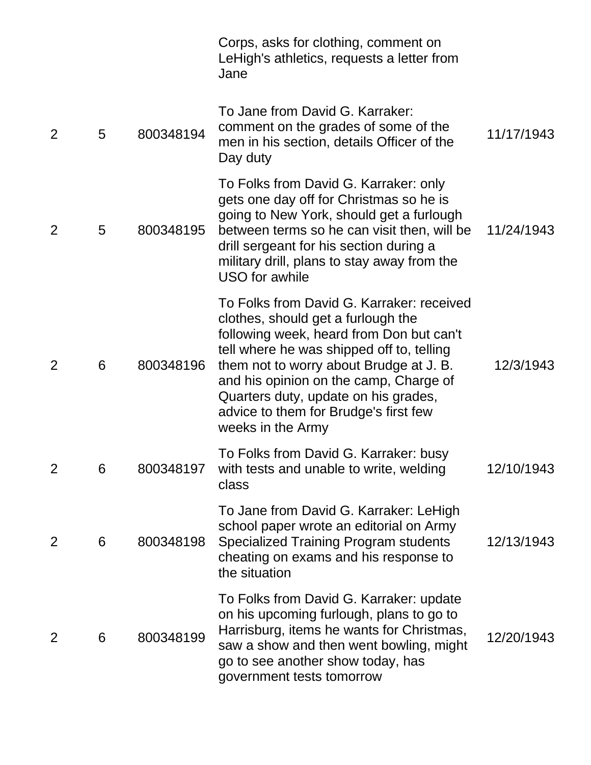|                |   |           | Corps, asks for clothing, comment on<br>LeHigh's athletics, requests a letter from<br>Jane                                                                                                                                                                                                                                                                          |            |
|----------------|---|-----------|---------------------------------------------------------------------------------------------------------------------------------------------------------------------------------------------------------------------------------------------------------------------------------------------------------------------------------------------------------------------|------------|
| 2              | 5 | 800348194 | To Jane from David G. Karraker:<br>comment on the grades of some of the<br>men in his section, details Officer of the<br>Day duty                                                                                                                                                                                                                                   | 11/17/1943 |
| 2              | 5 | 800348195 | To Folks from David G. Karraker: only<br>gets one day off for Christmas so he is<br>going to New York, should get a furlough<br>between terms so he can visit then, will be<br>drill sergeant for his section during a<br>military drill, plans to stay away from the<br><b>USO</b> for awhile                                                                      | 11/24/1943 |
| $\overline{2}$ | 6 | 800348196 | To Folks from David G. Karraker: received<br>clothes, should get a furlough the<br>following week, heard from Don but can't<br>tell where he was shipped off to, telling<br>them not to worry about Brudge at J. B.<br>and his opinion on the camp, Charge of<br>Quarters duty, update on his grades,<br>advice to them for Brudge's first few<br>weeks in the Army | 12/3/1943  |
| $\overline{2}$ | 6 | 800348197 | To Folks from David G. Karraker: busy<br>with tests and unable to write, welding<br>class                                                                                                                                                                                                                                                                           | 12/10/1943 |
| $\overline{2}$ | 6 | 800348198 | To Jane from David G. Karraker: LeHigh<br>school paper wrote an editorial on Army<br><b>Specialized Training Program students</b><br>cheating on exams and his response to<br>the situation                                                                                                                                                                         | 12/13/1943 |
| $\overline{2}$ | 6 | 800348199 | To Folks from David G. Karraker: update<br>on his upcoming furlough, plans to go to<br>Harrisburg, items he wants for Christmas,<br>saw a show and then went bowling, might<br>go to see another show today, has<br>government tests tomorrow                                                                                                                       | 12/20/1943 |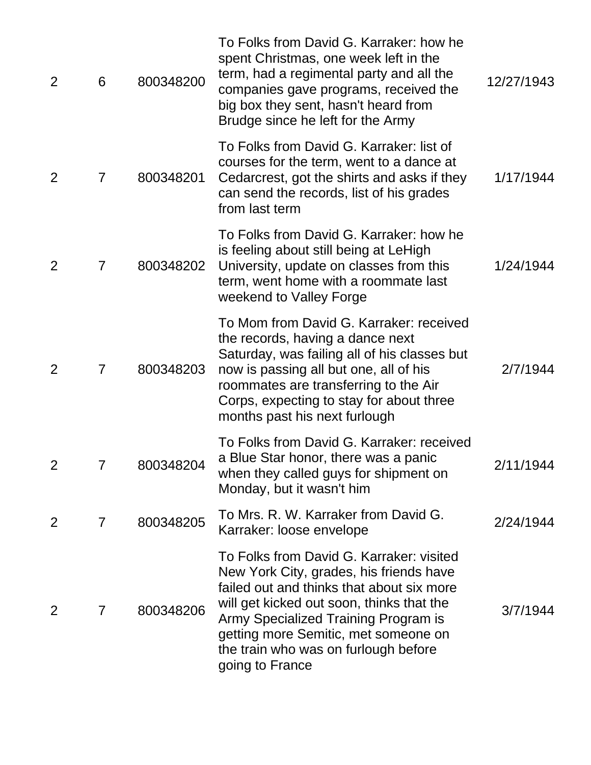| $\overline{2}$ | 6              | 800348200 | To Folks from David G. Karraker: how he<br>spent Christmas, one week left in the<br>term, had a regimental party and all the<br>companies gave programs, received the<br>big box they sent, hasn't heard from<br>Brudge since he left for the Army                                                                       | 12/27/1943 |
|----------------|----------------|-----------|--------------------------------------------------------------------------------------------------------------------------------------------------------------------------------------------------------------------------------------------------------------------------------------------------------------------------|------------|
| $\overline{2}$ | $\overline{7}$ | 800348201 | To Folks from David G. Karraker: list of<br>courses for the term, went to a dance at<br>Cedarcrest, got the shirts and asks if they<br>can send the records, list of his grades<br>from last term                                                                                                                        | 1/17/1944  |
| 2              | $\overline{7}$ | 800348202 | To Folks from David G. Karraker: how he<br>is feeling about still being at LeHigh<br>University, update on classes from this<br>term, went home with a roommate last<br>weekend to Valley Forge                                                                                                                          | 1/24/1944  |
| 2              | $\overline{7}$ | 800348203 | To Mom from David G. Karraker: received<br>the records, having a dance next<br>Saturday, was failing all of his classes but<br>now is passing all but one, all of his<br>roommates are transferring to the Air<br>Corps, expecting to stay for about three<br>months past his next furlough                              | 2/7/1944   |
|                |                | 800348204 | To Folks from David G. Karraker: received<br>a Blue Star honor, there was a panic<br>when they called guys for shipment on<br>Monday, but it wasn't him                                                                                                                                                                  | 2/11/1944  |
| 2              | $\overline{7}$ | 800348205 | To Mrs. R. W. Karraker from David G.<br>Karraker: loose envelope                                                                                                                                                                                                                                                         | 2/24/1944  |
| 2              | 7              | 800348206 | To Folks from David G. Karraker: visited<br>New York City, grades, his friends have<br>failed out and thinks that about six more<br>will get kicked out soon, thinks that the<br>Army Specialized Training Program is<br>getting more Semitic, met someone on<br>the train who was on furlough before<br>going to France | 3/7/1944   |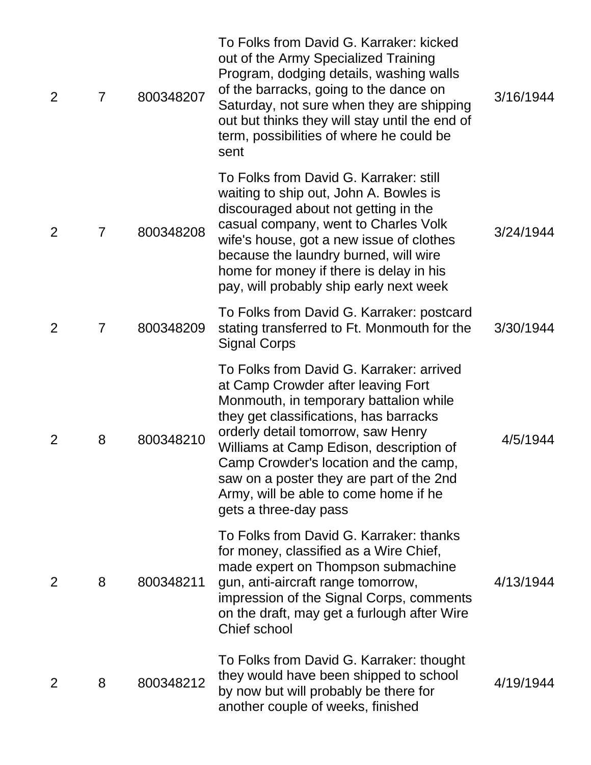| $\overline{2}$ | $\overline{7}$ | 800348207 | To Folks from David G. Karraker: kicked<br>out of the Army Specialized Training<br>Program, dodging details, washing walls<br>of the barracks, going to the dance on<br>Saturday, not sure when they are shipping<br>out but thinks they will stay until the end of<br>term, possibilities of where he could be<br>sent                                                                                    | 3/16/1944 |
|----------------|----------------|-----------|------------------------------------------------------------------------------------------------------------------------------------------------------------------------------------------------------------------------------------------------------------------------------------------------------------------------------------------------------------------------------------------------------------|-----------|
| $\overline{2}$ | $\overline{7}$ | 800348208 | To Folks from David G. Karraker: still<br>waiting to ship out, John A. Bowles is<br>discouraged about not getting in the<br>casual company, went to Charles Volk<br>wife's house, got a new issue of clothes<br>because the laundry burned, will wire<br>home for money if there is delay in his<br>pay, will probably ship early next week                                                                | 3/24/1944 |
| $\overline{2}$ | $\overline{7}$ | 800348209 | To Folks from David G. Karraker: postcard<br>stating transferred to Ft. Monmouth for the<br><b>Signal Corps</b>                                                                                                                                                                                                                                                                                            | 3/30/1944 |
| 2              | 8              | 800348210 | To Folks from David G. Karraker: arrived<br>at Camp Crowder after leaving Fort<br>Monmouth, in temporary battalion while<br>they get classifications, has barracks<br>orderly detail tomorrow, saw Henry<br>Williams at Camp Edison, description of<br>Camp Crowder's location and the camp,<br>saw on a poster they are part of the 2nd<br>Army, will be able to come home if he<br>gets a three-day pass | 4/5/1944  |
| 2              | 8              | 800348211 | To Folks from David G. Karraker: thanks<br>for money, classified as a Wire Chief,<br>made expert on Thompson submachine<br>gun, anti-aircraft range tomorrow,<br>impression of the Signal Corps, comments<br>on the draft, may get a furlough after Wire<br>Chief school                                                                                                                                   | 4/13/1944 |
| 2              | 8              | 800348212 | To Folks from David G. Karraker: thought<br>they would have been shipped to school<br>by now but will probably be there for<br>another couple of weeks, finished                                                                                                                                                                                                                                           | 4/19/1944 |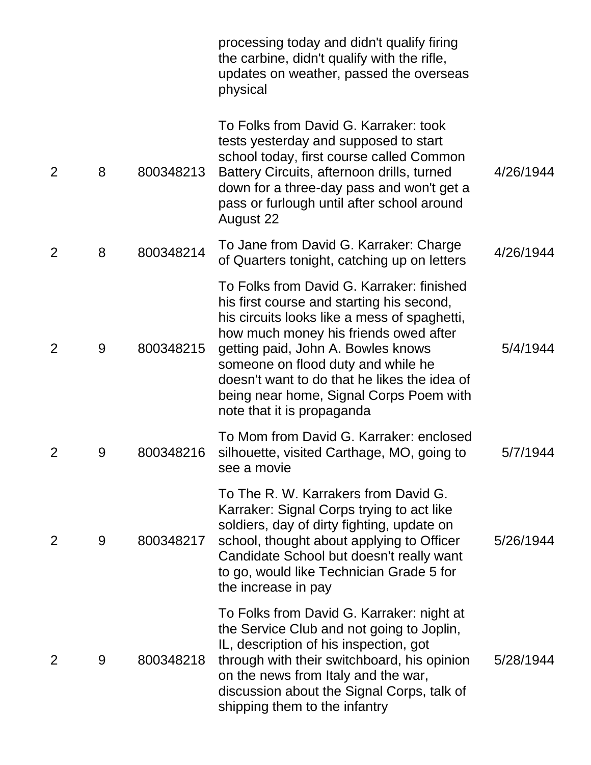|                |   |           | processing today and didn't qualify firing<br>the carbine, didn't qualify with the rifle,<br>updates on weather, passed the overseas<br>physical                                                                                                                                                                                                                                     |           |
|----------------|---|-----------|--------------------------------------------------------------------------------------------------------------------------------------------------------------------------------------------------------------------------------------------------------------------------------------------------------------------------------------------------------------------------------------|-----------|
| $\overline{2}$ | 8 | 800348213 | To Folks from David G. Karraker: took<br>tests yesterday and supposed to start<br>school today, first course called Common<br>Battery Circuits, afternoon drills, turned<br>down for a three-day pass and won't get a<br>pass or furlough until after school around<br>August 22                                                                                                     | 4/26/1944 |
| $\overline{2}$ | 8 | 800348214 | To Jane from David G. Karraker: Charge<br>of Quarters tonight, catching up on letters                                                                                                                                                                                                                                                                                                | 4/26/1944 |
| 2              | 9 | 800348215 | To Folks from David G. Karraker: finished<br>his first course and starting his second,<br>his circuits looks like a mess of spaghetti,<br>how much money his friends owed after<br>getting paid, John A. Bowles knows<br>someone on flood duty and while he<br>doesn't want to do that he likes the idea of<br>being near home, Signal Corps Poem with<br>note that it is propaganda | 5/4/1944  |
| 2              | 9 | 800348216 | To Mom from David G. Karraker: enclosed<br>silhouette, visited Carthage, MO, going to<br>see a movie                                                                                                                                                                                                                                                                                 | 5/7/1944  |
| $\overline{2}$ | 9 | 800348217 | To The R. W. Karrakers from David G.<br>Karraker: Signal Corps trying to act like<br>soldiers, day of dirty fighting, update on<br>school, thought about applying to Officer<br>Candidate School but doesn't really want<br>to go, would like Technician Grade 5 for<br>the increase in pay                                                                                          | 5/26/1944 |
| 2              | 9 | 800348218 | To Folks from David G. Karraker: night at<br>the Service Club and not going to Joplin,<br>IL, description of his inspection, got<br>through with their switchboard, his opinion<br>on the news from Italy and the war,<br>discussion about the Signal Corps, talk of<br>shipping them to the infantry                                                                                | 5/28/1944 |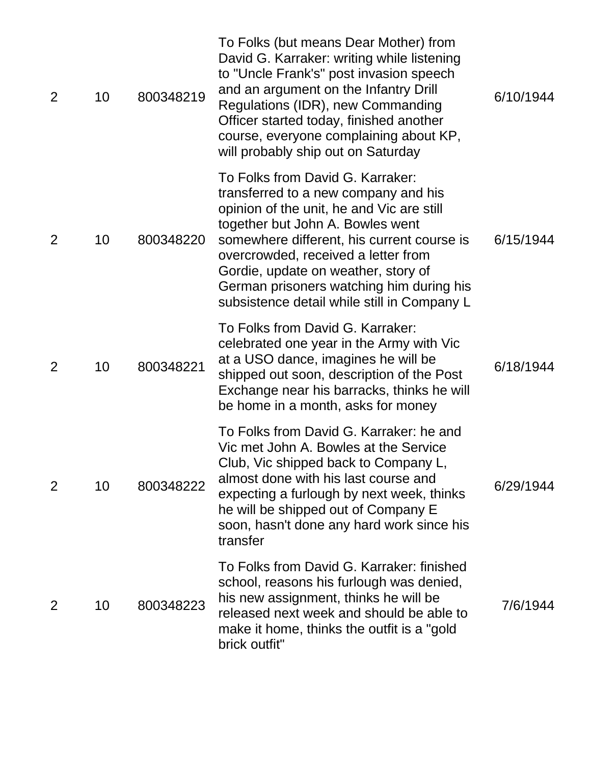| $\overline{2}$ | 10 | 800348219 | To Folks (but means Dear Mother) from<br>David G. Karraker: writing while listening<br>to "Uncle Frank's" post invasion speech<br>and an argument on the Infantry Drill<br>Regulations (IDR), new Commanding<br>Officer started today, finished another<br>course, everyone complaining about KP,<br>will probably ship out on Saturday                                          | 6/10/1944 |
|----------------|----|-----------|----------------------------------------------------------------------------------------------------------------------------------------------------------------------------------------------------------------------------------------------------------------------------------------------------------------------------------------------------------------------------------|-----------|
| 2              | 10 | 800348220 | To Folks from David G. Karraker:<br>transferred to a new company and his<br>opinion of the unit, he and Vic are still<br>together but John A. Bowles went<br>somewhere different, his current course is<br>overcrowded, received a letter from<br>Gordie, update on weather, story of<br>German prisoners watching him during his<br>subsistence detail while still in Company L | 6/15/1944 |
| 2              | 10 | 800348221 | To Folks from David G. Karraker:<br>celebrated one year in the Army with Vic<br>at a USO dance, imagines he will be<br>shipped out soon, description of the Post<br>Exchange near his barracks, thinks he will<br>be home in a month, asks for money                                                                                                                             | 6/18/1944 |
| 2              | 10 | 800348222 | To Folks from David G. Karraker: he and<br>Vic met John A. Bowles at the Service<br>Club, Vic shipped back to Company L,<br>almost done with his last course and<br>expecting a furlough by next week, thinks<br>he will be shipped out of Company E<br>soon, hasn't done any hard work since his<br>transfer                                                                    | 6/29/1944 |
| 2              | 10 | 800348223 | To Folks from David G. Karraker: finished<br>school, reasons his furlough was denied,<br>his new assignment, thinks he will be<br>released next week and should be able to<br>make it home, thinks the outfit is a "gold<br>brick outfit"                                                                                                                                        | 7/6/1944  |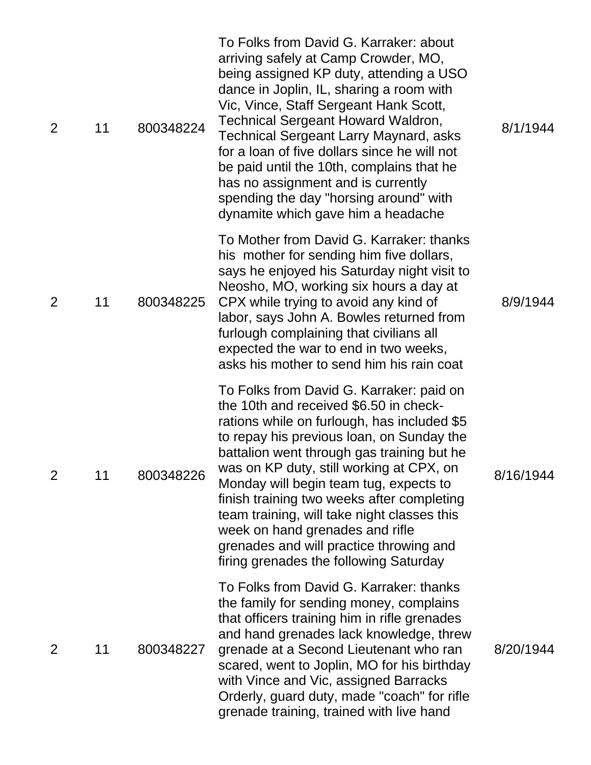| 2              | 11 | 800348224 | To Folks from David G. Karraker: about<br>arriving safely at Camp Crowder, MO,<br>being assigned KP duty, attending a USO<br>dance in Joplin, IL, sharing a room with<br>Vic, Vince, Staff Sergeant Hank Scott,<br><b>Technical Sergeant Howard Waldron,</b><br><b>Technical Sergeant Larry Maynard, asks</b><br>for a loan of five dollars since he will not<br>be paid until the 10th, complains that he<br>has no assignment and is currently<br>spending the day "horsing around" with<br>dynamite which gave him a headache        | 8/1/1944  |
|----------------|----|-----------|-----------------------------------------------------------------------------------------------------------------------------------------------------------------------------------------------------------------------------------------------------------------------------------------------------------------------------------------------------------------------------------------------------------------------------------------------------------------------------------------------------------------------------------------|-----------|
| $\overline{2}$ | 11 | 800348225 | To Mother from David G. Karraker: thanks<br>his mother for sending him five dollars,<br>says he enjoyed his Saturday night visit to<br>Neosho, MO, working six hours a day at<br>CPX while trying to avoid any kind of<br>labor, says John A. Bowles returned from<br>furlough complaining that civilians all<br>expected the war to end in two weeks,<br>asks his mother to send him his rain coat                                                                                                                                     | 8/9/1944  |
| $\overline{2}$ | 11 | 800348226 | To Folks from David G. Karraker: paid on<br>the 10th and received \$6.50 in check-<br>rations while on furlough, has included \$5<br>to repay his previous loan, on Sunday the<br>battalion went through gas training but he<br>was on KP duty, still working at CPX, on<br>Monday will begin team tug, expects to<br>finish training two weeks after completing<br>team training, will take night classes this<br>week on hand grenades and rifle<br>grenades and will practice throwing and<br>firing grenades the following Saturday | 8/16/1944 |
| $\overline{2}$ | 11 | 800348227 | To Folks from David G. Karraker: thanks<br>the family for sending money, complains<br>that officers training him in rifle grenades<br>and hand grenades lack knowledge, threw<br>grenade at a Second Lieutenant who ran<br>scared, went to Joplin, MO for his birthday<br>with Vince and Vic, assigned Barracks<br>Orderly, guard duty, made "coach" for rifle<br>grenade training, trained with live hand                                                                                                                              | 8/20/1944 |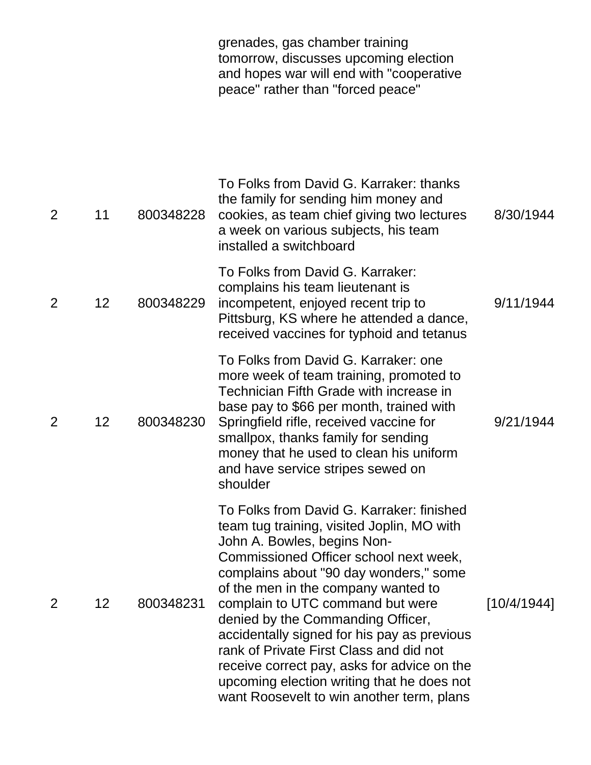|                |                   |           | grenades, gas chamber training<br>tomorrow, discusses upcoming election<br>and hopes war will end with "cooperative"<br>peace" rather than "forced peace"                                                                                                                                                                                                                                                                                                                                                                                                      |             |
|----------------|-------------------|-----------|----------------------------------------------------------------------------------------------------------------------------------------------------------------------------------------------------------------------------------------------------------------------------------------------------------------------------------------------------------------------------------------------------------------------------------------------------------------------------------------------------------------------------------------------------------------|-------------|
| 2              | 11                | 800348228 | To Folks from David G. Karraker: thanks<br>the family for sending him money and<br>cookies, as team chief giving two lectures<br>a week on various subjects, his team<br>installed a switchboard                                                                                                                                                                                                                                                                                                                                                               | 8/30/1944   |
| $\overline{2}$ | $12 \overline{ }$ | 800348229 | To Folks from David G. Karraker:<br>complains his team lieutenant is<br>incompetent, enjoyed recent trip to<br>Pittsburg, KS where he attended a dance,<br>received vaccines for typhoid and tetanus                                                                                                                                                                                                                                                                                                                                                           | 9/11/1944   |
| $\overline{2}$ | 12                | 800348230 | To Folks from David G. Karraker: one<br>more week of team training, promoted to<br>Technician Fifth Grade with increase in<br>base pay to \$66 per month, trained with<br>Springfield rifle, received vaccine for<br>smallpox, thanks family for sending<br>money that he used to clean his uniform<br>and have service stripes sewed on<br>shoulder                                                                                                                                                                                                           | 9/21/1944   |
| $\overline{2}$ | 12                | 800348231 | To Folks from David G. Karraker: finished<br>team tug training, visited Joplin, MO with<br>John A. Bowles, begins Non-<br>Commissioned Officer school next week,<br>complains about "90 day wonders," some<br>of the men in the company wanted to<br>complain to UTC command but were<br>denied by the Commanding Officer,<br>accidentally signed for his pay as previous<br>rank of Private First Class and did not<br>receive correct pay, asks for advice on the<br>upcoming election writing that he does not<br>want Roosevelt to win another term, plans | [10/4/1944] |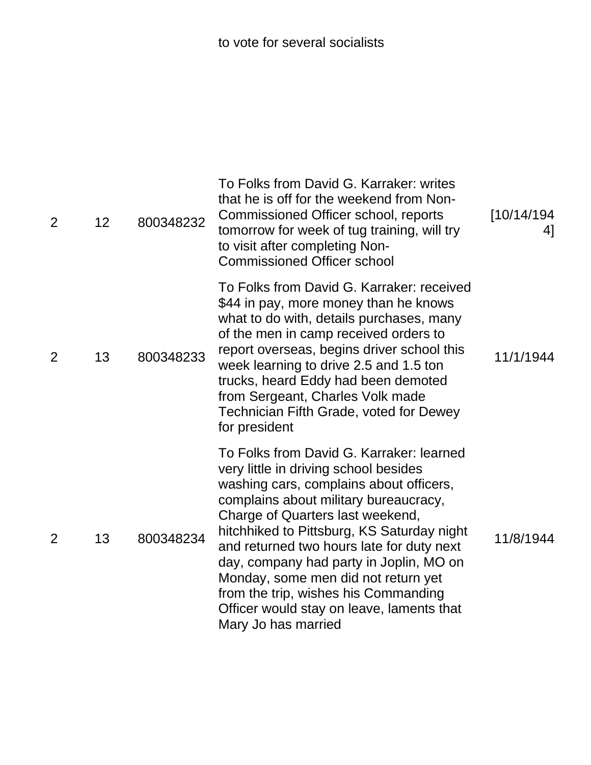| $\overline{2}$ | 12 | 800348232 | To Folks from David G. Karraker: writes<br>that he is off for the weekend from Non-<br>Commissioned Officer school, reports<br>tomorrow for week of tug training, will try<br>to visit after completing Non-<br><b>Commissioned Officer school</b>                                                                                                                                                                                                                                                 | [10/14/194]<br>41 |
|----------------|----|-----------|----------------------------------------------------------------------------------------------------------------------------------------------------------------------------------------------------------------------------------------------------------------------------------------------------------------------------------------------------------------------------------------------------------------------------------------------------------------------------------------------------|-------------------|
| $\overline{2}$ | 13 | 800348233 | To Folks from David G. Karraker: received<br>\$44 in pay, more money than he knows<br>what to do with, details purchases, many<br>of the men in camp received orders to<br>report overseas, begins driver school this<br>week learning to drive 2.5 and 1.5 ton<br>trucks, heard Eddy had been demoted<br>from Sergeant, Charles Volk made<br>Technician Fifth Grade, voted for Dewey<br>for president                                                                                             | 11/1/1944         |
| 2              | 13 | 800348234 | To Folks from David G. Karraker: learned<br>very little in driving school besides<br>washing cars, complains about officers,<br>complains about military bureaucracy,<br>Charge of Quarters last weekend,<br>hitchhiked to Pittsburg, KS Saturday night<br>and returned two hours late for duty next<br>day, company had party in Joplin, MO on<br>Monday, some men did not return yet<br>from the trip, wishes his Commanding<br>Officer would stay on leave, laments that<br>Mary Jo has married | 11/8/1944         |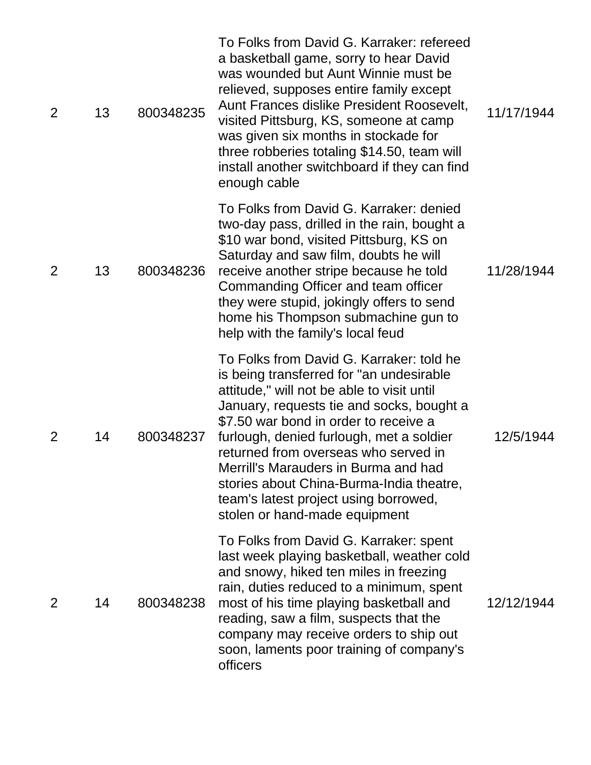| $\overline{2}$ | 13 | 800348235 | To Folks from David G. Karraker: refereed<br>a basketball game, sorry to hear David<br>was wounded but Aunt Winnie must be<br>relieved, supposes entire family except<br>Aunt Frances dislike President Roosevelt,<br>visited Pittsburg, KS, someone at camp<br>was given six months in stockade for<br>three robberies totaling \$14.50, team will<br>install another switchboard if they can find<br>enough cable                                                        | 11/17/1944 |
|----------------|----|-----------|----------------------------------------------------------------------------------------------------------------------------------------------------------------------------------------------------------------------------------------------------------------------------------------------------------------------------------------------------------------------------------------------------------------------------------------------------------------------------|------------|
| $\overline{2}$ | 13 | 800348236 | To Folks from David G. Karraker: denied<br>two-day pass, drilled in the rain, bought a<br>\$10 war bond, visited Pittsburg, KS on<br>Saturday and saw film, doubts he will<br>receive another stripe because he told<br>Commanding Officer and team officer<br>they were stupid, jokingly offers to send<br>home his Thompson submachine gun to<br>help with the family's local feud                                                                                       | 11/28/1944 |
| $\overline{2}$ | 14 | 800348237 | To Folks from David G. Karraker: told he<br>is being transferred for "an undesirable<br>attitude," will not be able to visit until<br>January, requests tie and socks, bought a<br>\$7.50 war bond in order to receive a<br>furlough, denied furlough, met a soldier<br>returned from overseas who served in<br>Merrill's Marauders in Burma and had<br>stories about China-Burma-India theatre,<br>team's latest project using borrowed,<br>stolen or hand-made equipment | 12/5/1944  |
| $\overline{2}$ | 14 | 800348238 | To Folks from David G. Karraker: spent<br>last week playing basketball, weather cold<br>and snowy, hiked ten miles in freezing<br>rain, duties reduced to a minimum, spent<br>most of his time playing basketball and<br>reading, saw a film, suspects that the<br>company may receive orders to ship out<br>soon, laments poor training of company's<br>officers                                                                                                          | 12/12/1944 |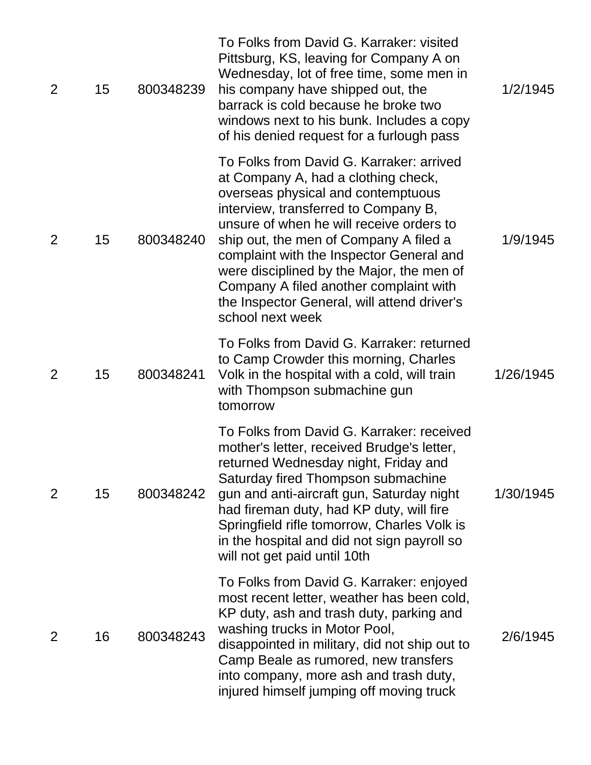| 2 | 15 | 800348239 | To Folks from David G. Karraker: visited<br>Pittsburg, KS, leaving for Company A on<br>Wednesday, lot of free time, some men in<br>his company have shipped out, the<br>barrack is cold because he broke two<br>windows next to his bunk. Includes a copy<br>of his denied request for a furlough pass                                                                                                                                                    | 1/2/1945  |
|---|----|-----------|-----------------------------------------------------------------------------------------------------------------------------------------------------------------------------------------------------------------------------------------------------------------------------------------------------------------------------------------------------------------------------------------------------------------------------------------------------------|-----------|
| 2 | 15 | 800348240 | To Folks from David G. Karraker: arrived<br>at Company A, had a clothing check,<br>overseas physical and contemptuous<br>interview, transferred to Company B,<br>unsure of when he will receive orders to<br>ship out, the men of Company A filed a<br>complaint with the Inspector General and<br>were disciplined by the Major, the men of<br>Company A filed another complaint with<br>the Inspector General, will attend driver's<br>school next week | 1/9/1945  |
| 2 | 15 | 800348241 | To Folks from David G. Karraker: returned<br>to Camp Crowder this morning, Charles<br>Volk in the hospital with a cold, will train<br>with Thompson submachine gun<br>tomorrow                                                                                                                                                                                                                                                                            | 1/26/1945 |
| 2 | 15 | 800348242 | To Folks from David G. Karraker: received<br>mother's letter, received Brudge's letter,<br>returned Wednesday night, Friday and<br>Saturday fired Thompson submachine<br>gun and anti-aircraft gun, Saturday night<br>had fireman duty, had KP duty, will fire<br>Springfield rifle tomorrow, Charles Volk is<br>in the hospital and did not sign payroll so<br>will not get paid until 10th                                                              | 1/30/1945 |
| 2 | 16 | 800348243 | To Folks from David G. Karraker: enjoyed<br>most recent letter, weather has been cold,<br>KP duty, ash and trash duty, parking and<br>washing trucks in Motor Pool,<br>disappointed in military, did not ship out to<br>Camp Beale as rumored, new transfers<br>into company, more ash and trash duty,<br>injured himself jumping off moving truck                                                                                                        | 2/6/1945  |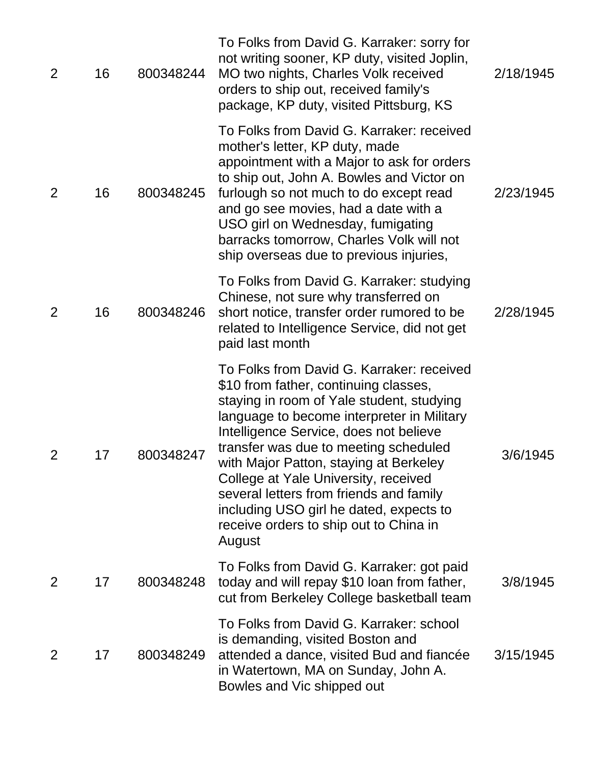| $\overline{2}$ | 16 | 800348244 | To Folks from David G. Karraker: sorry for<br>not writing sooner, KP duty, visited Joplin,<br>MO two nights, Charles Volk received<br>orders to ship out, received family's<br>package, KP duty, visited Pittsburg, KS                                                                                                                                                                                                                                                                       | 2/18/1945 |
|----------------|----|-----------|----------------------------------------------------------------------------------------------------------------------------------------------------------------------------------------------------------------------------------------------------------------------------------------------------------------------------------------------------------------------------------------------------------------------------------------------------------------------------------------------|-----------|
| 2              | 16 | 800348245 | To Folks from David G. Karraker: received<br>mother's letter, KP duty, made<br>appointment with a Major to ask for orders<br>to ship out, John A. Bowles and Victor on<br>furlough so not much to do except read<br>and go see movies, had a date with a<br>USO girl on Wednesday, fumigating<br>barracks tomorrow, Charles Volk will not<br>ship overseas due to previous injuries,                                                                                                         | 2/23/1945 |
| 2              | 16 | 800348246 | To Folks from David G. Karraker: studying<br>Chinese, not sure why transferred on<br>short notice, transfer order rumored to be<br>related to Intelligence Service, did not get<br>paid last month                                                                                                                                                                                                                                                                                           | 2/28/1945 |
| $\overline{2}$ | 17 | 800348247 | To Folks from David G. Karraker: received<br>\$10 from father, continuing classes,<br>staying in room of Yale student, studying<br>language to become interpreter in Military<br>Intelligence Service, does not believe<br>transfer was due to meeting scheduled<br>with Major Patton, staying at Berkeley<br>College at Yale University, received<br>several letters from friends and family<br>including USO girl he dated, expects to<br>receive orders to ship out to China in<br>August | 3/6/1945  |
| 2              | 17 | 800348248 | To Folks from David G. Karraker: got paid<br>today and will repay \$10 loan from father,<br>cut from Berkeley College basketball team                                                                                                                                                                                                                                                                                                                                                        | 3/8/1945  |
| 2              | 17 | 800348249 | To Folks from David G. Karraker: school<br>is demanding, visited Boston and<br>attended a dance, visited Bud and fiancée<br>in Watertown, MA on Sunday, John A.<br>Bowles and Vic shipped out                                                                                                                                                                                                                                                                                                | 3/15/1945 |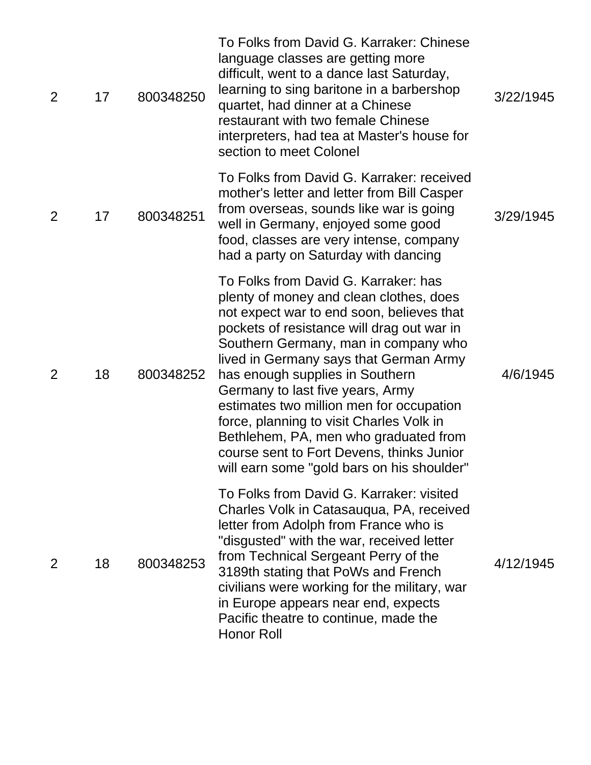| 2              | 17 | 800348250 | To Folks from David G. Karraker: Chinese<br>language classes are getting more<br>difficult, went to a dance last Saturday,<br>learning to sing baritone in a barbershop<br>quartet, had dinner at a Chinese<br>restaurant with two female Chinese<br>interpreters, had tea at Master's house for<br>section to meet Colonel                                                                                                                                                                                                                                     | 3/22/1945 |
|----------------|----|-----------|-----------------------------------------------------------------------------------------------------------------------------------------------------------------------------------------------------------------------------------------------------------------------------------------------------------------------------------------------------------------------------------------------------------------------------------------------------------------------------------------------------------------------------------------------------------------|-----------|
| $\overline{2}$ | 17 | 800348251 | To Folks from David G. Karraker: received<br>mother's letter and letter from Bill Casper<br>from overseas, sounds like war is going<br>well in Germany, enjoyed some good<br>food, classes are very intense, company<br>had a party on Saturday with dancing                                                                                                                                                                                                                                                                                                    | 3/29/1945 |
| $\overline{2}$ | 18 | 800348252 | To Folks from David G. Karraker: has<br>plenty of money and clean clothes, does<br>not expect war to end soon, believes that<br>pockets of resistance will drag out war in<br>Southern Germany, man in company who<br>lived in Germany says that German Army<br>has enough supplies in Southern<br>Germany to last five years, Army<br>estimates two million men for occupation<br>force, planning to visit Charles Volk in<br>Bethlehem, PA, men who graduated from<br>course sent to Fort Devens, thinks Junior<br>will earn some "gold bars on his shoulder" | 4/6/1945  |
| 2              | 18 | 800348253 | To Folks from David G. Karraker: visited<br>Charles Volk in Catasauqua, PA, received<br>letter from Adolph from France who is<br>"disgusted" with the war, received letter<br>from Technical Sergeant Perry of the<br>3189th stating that PoWs and French<br>civilians were working for the military, war<br>in Europe appears near end, expects<br>Pacific theatre to continue, made the<br><b>Honor Roll</b>                                                                                                                                                  | 4/12/1945 |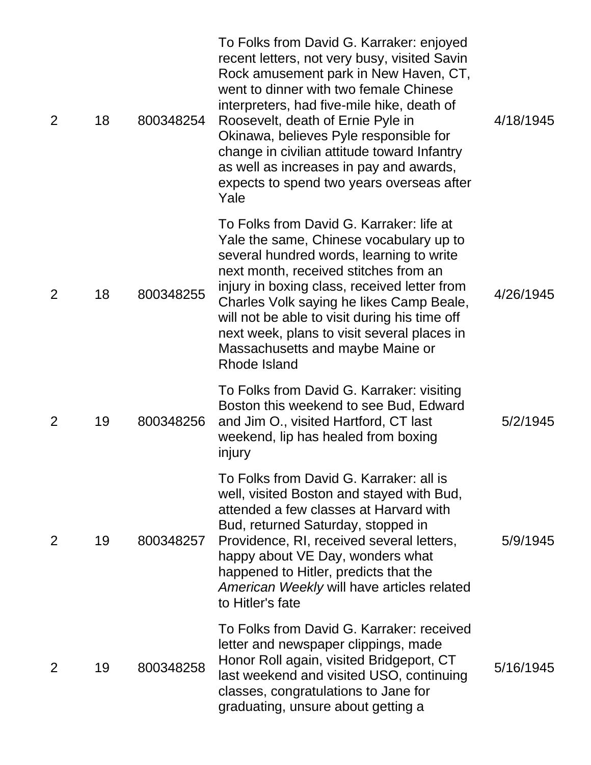| $\overline{2}$ | 18 | 800348254 | To Folks from David G. Karraker: enjoyed<br>recent letters, not very busy, visited Savin<br>Rock amusement park in New Haven, CT,<br>went to dinner with two female Chinese<br>interpreters, had five-mile hike, death of<br>Roosevelt, death of Ernie Pyle in<br>Okinawa, believes Pyle responsible for<br>change in civilian attitude toward Infantry<br>as well as increases in pay and awards,<br>expects to spend two years overseas after<br>Yale | 4/18/1945 |
|----------------|----|-----------|---------------------------------------------------------------------------------------------------------------------------------------------------------------------------------------------------------------------------------------------------------------------------------------------------------------------------------------------------------------------------------------------------------------------------------------------------------|-----------|
| $\overline{2}$ | 18 | 800348255 | To Folks from David G. Karraker: life at<br>Yale the same, Chinese vocabulary up to<br>several hundred words, learning to write<br>next month, received stitches from an<br>injury in boxing class, received letter from<br>Charles Volk saying he likes Camp Beale,<br>will not be able to visit during his time off<br>next week, plans to visit several places in<br>Massachusetts and maybe Maine or<br>Rhode Island                                | 4/26/1945 |
| 2              | 19 | 800348256 | To Folks from David G. Karraker: visiting<br>Boston this weekend to see Bud, Edward<br>and Jim O., visited Hartford, CT last<br>weekend, lip has healed from boxing<br>injury                                                                                                                                                                                                                                                                           | 5/2/1945  |
| $\overline{2}$ | 19 | 800348257 | To Folks from David G. Karraker: all is<br>well, visited Boston and stayed with Bud,<br>attended a few classes at Harvard with<br>Bud, returned Saturday, stopped in<br>Providence, RI, received several letters,<br>happy about VE Day, wonders what<br>happened to Hitler, predicts that the<br>American Weekly will have articles related<br>to Hitler's fate                                                                                        | 5/9/1945  |
| 2              | 19 | 800348258 | To Folks from David G. Karraker: received<br>letter and newspaper clippings, made<br>Honor Roll again, visited Bridgeport, CT<br>last weekend and visited USO, continuing<br>classes, congratulations to Jane for<br>graduating, unsure about getting a                                                                                                                                                                                                 | 5/16/1945 |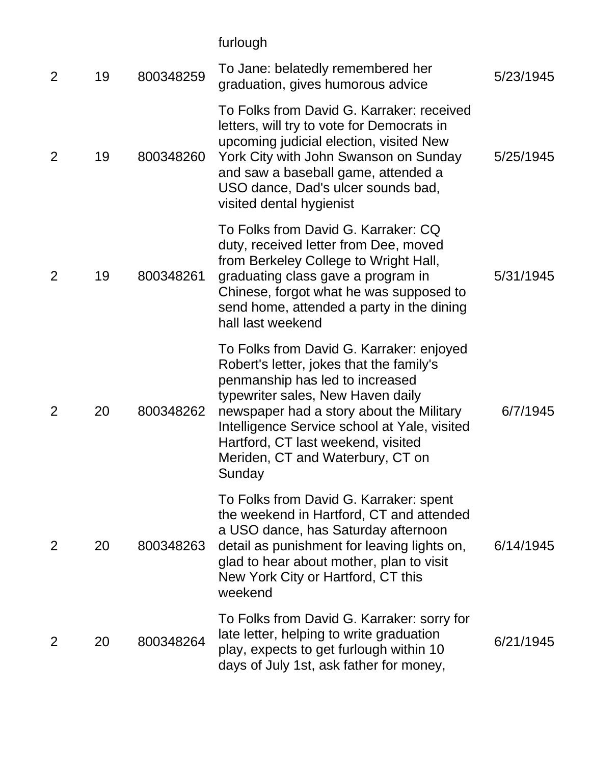furlough

| $\overline{2}$ | 19 | 800348259 | To Jane: belatedly remembered her<br>graduation, gives humorous advice                                                                                                                                                                                                                                                                       | 5/23/1945 |
|----------------|----|-----------|----------------------------------------------------------------------------------------------------------------------------------------------------------------------------------------------------------------------------------------------------------------------------------------------------------------------------------------------|-----------|
| 2              | 19 | 800348260 | To Folks from David G. Karraker: received<br>letters, will try to vote for Democrats in<br>upcoming judicial election, visited New<br>York City with John Swanson on Sunday<br>and saw a baseball game, attended a<br>USO dance, Dad's ulcer sounds bad,<br>visited dental hygienist                                                         | 5/25/1945 |
| 2              | 19 | 800348261 | To Folks from David G. Karraker: CQ<br>duty, received letter from Dee, moved<br>from Berkeley College to Wright Hall,<br>graduating class gave a program in<br>Chinese, forgot what he was supposed to<br>send home, attended a party in the dining<br>hall last weekend                                                                     | 5/31/1945 |
| $\overline{2}$ | 20 | 800348262 | To Folks from David G. Karraker: enjoyed<br>Robert's letter, jokes that the family's<br>penmanship has led to increased<br>typewriter sales, New Haven daily<br>newspaper had a story about the Military<br>Intelligence Service school at Yale, visited<br>Hartford, CT last weekend, visited<br>Meriden, CT and Waterbury, CT on<br>Sunday | 6/7/1945  |
| $\overline{2}$ | 20 | 800348263 | To Folks from David G. Karraker: spent<br>the weekend in Hartford, CT and attended<br>a USO dance, has Saturday afternoon<br>detail as punishment for leaving lights on,<br>glad to hear about mother, plan to visit<br>New York City or Hartford, CT this<br>weekend                                                                        | 6/14/1945 |
| 2              | 20 | 800348264 | To Folks from David G. Karraker: sorry for<br>late letter, helping to write graduation<br>play, expects to get furlough within 10<br>days of July 1st, ask father for money,                                                                                                                                                                 | 6/21/1945 |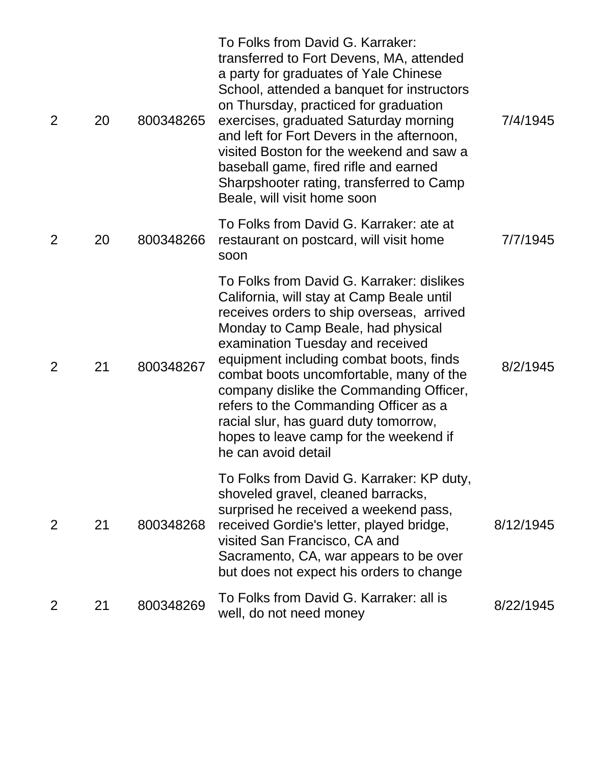| $\overline{2}$ | 20 | 800348265 | To Folks from David G. Karraker:<br>transferred to Fort Devens, MA, attended<br>a party for graduates of Yale Chinese<br>School, attended a banquet for instructors<br>on Thursday, practiced for graduation<br>exercises, graduated Saturday morning<br>and left for Fort Devers in the afternoon,<br>visited Boston for the weekend and saw a<br>baseball game, fired rifle and earned<br>Sharpshooter rating, transferred to Camp<br>Beale, will visit home soon                               | 7/4/1945  |
|----------------|----|-----------|---------------------------------------------------------------------------------------------------------------------------------------------------------------------------------------------------------------------------------------------------------------------------------------------------------------------------------------------------------------------------------------------------------------------------------------------------------------------------------------------------|-----------|
| $\overline{2}$ | 20 | 800348266 | To Folks from David G. Karraker: ate at<br>restaurant on postcard, will visit home<br>soon                                                                                                                                                                                                                                                                                                                                                                                                        | 7/7/1945  |
| 2              | 21 | 800348267 | To Folks from David G. Karraker: dislikes<br>California, will stay at Camp Beale until<br>receives orders to ship overseas, arrived<br>Monday to Camp Beale, had physical<br>examination Tuesday and received<br>equipment including combat boots, finds<br>combat boots uncomfortable, many of the<br>company dislike the Commanding Officer,<br>refers to the Commanding Officer as a<br>racial slur, has guard duty tomorrow,<br>hopes to leave camp for the weekend if<br>he can avoid detail | 8/2/1945  |
| $\overline{2}$ | 21 | 800348268 | To Folks from David G. Karraker: KP duty,<br>shoveled gravel, cleaned barracks,<br>surprised he received a weekend pass,<br>received Gordie's letter, played bridge,<br>visited San Francisco, CA and<br>Sacramento, CA, war appears to be over<br>but does not expect his orders to change                                                                                                                                                                                                       | 8/12/1945 |
| $\overline{2}$ | 21 | 800348269 | To Folks from David G. Karraker: all is<br>well, do not need money                                                                                                                                                                                                                                                                                                                                                                                                                                | 8/22/1945 |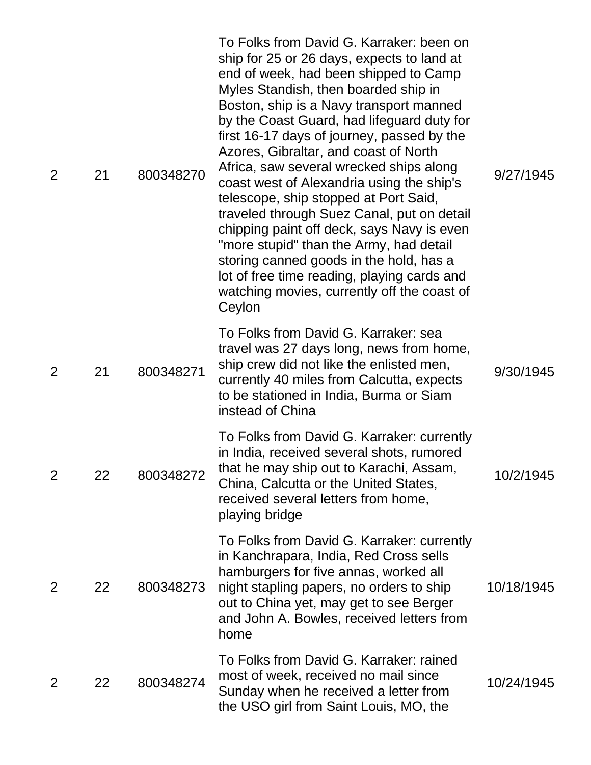| 2              | 21 | 800348270 | To Folks from David G. Karraker: been on<br>ship for 25 or 26 days, expects to land at<br>end of week, had been shipped to Camp<br>Myles Standish, then boarded ship in<br>Boston, ship is a Navy transport manned<br>by the Coast Guard, had lifeguard duty for<br>first 16-17 days of journey, passed by the<br>Azores, Gibraltar, and coast of North<br>Africa, saw several wrecked ships along<br>coast west of Alexandria using the ship's<br>telescope, ship stopped at Port Said,<br>traveled through Suez Canal, put on detail<br>chipping paint off deck, says Navy is even<br>"more stupid" than the Army, had detail<br>storing canned goods in the hold, has a<br>lot of free time reading, playing cards and<br>watching movies, currently off the coast of<br>Ceylon | 9/27/1945  |
|----------------|----|-----------|------------------------------------------------------------------------------------------------------------------------------------------------------------------------------------------------------------------------------------------------------------------------------------------------------------------------------------------------------------------------------------------------------------------------------------------------------------------------------------------------------------------------------------------------------------------------------------------------------------------------------------------------------------------------------------------------------------------------------------------------------------------------------------|------------|
| 2              | 21 | 800348271 | To Folks from David G. Karraker: sea<br>travel was 27 days long, news from home,<br>ship crew did not like the enlisted men,<br>currently 40 miles from Calcutta, expects<br>to be stationed in India, Burma or Siam<br>instead of China                                                                                                                                                                                                                                                                                                                                                                                                                                                                                                                                           | 9/30/1945  |
| $\overline{2}$ | 22 | 800348272 | To Folks from David G. Karraker: currently<br>in India, received several shots, rumored<br>that he may ship out to Karachi, Assam,<br>China, Calcutta or the United States,<br>received several letters from home,<br>playing bridge                                                                                                                                                                                                                                                                                                                                                                                                                                                                                                                                               | 10/2/1945  |
| $\overline{2}$ | 22 | 800348273 | To Folks from David G. Karraker: currently<br>in Kanchrapara, India, Red Cross sells<br>hamburgers for five annas, worked all<br>night stapling papers, no orders to ship<br>out to China yet, may get to see Berger<br>and John A. Bowles, received letters from<br>home                                                                                                                                                                                                                                                                                                                                                                                                                                                                                                          | 10/18/1945 |
| 2              | 22 | 800348274 | To Folks from David G. Karraker: rained<br>most of week, received no mail since<br>Sunday when he received a letter from<br>the USO girl from Saint Louis, MO, the                                                                                                                                                                                                                                                                                                                                                                                                                                                                                                                                                                                                                 | 10/24/1945 |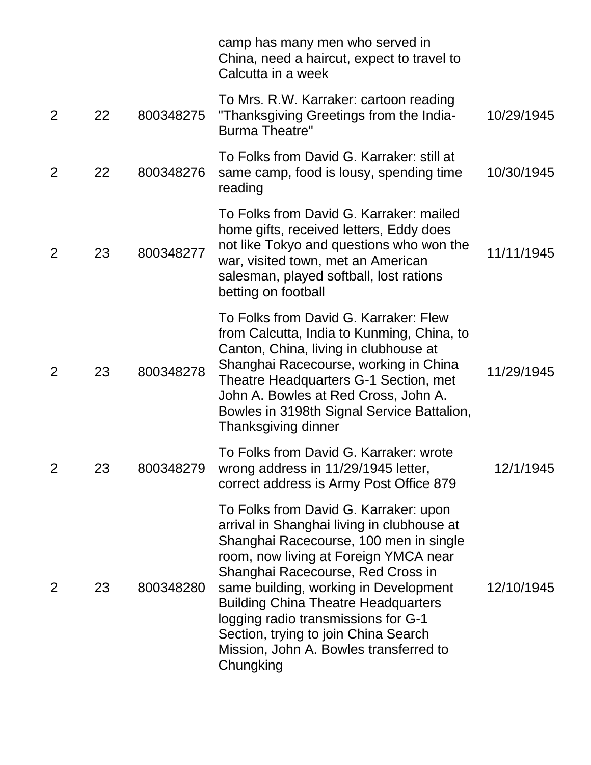|                |    |           | camp has many men who served in<br>China, need a haircut, expect to travel to<br>Calcutta in a week                                                                                                                                                                                                                                                                                                                                      |            |
|----------------|----|-----------|------------------------------------------------------------------------------------------------------------------------------------------------------------------------------------------------------------------------------------------------------------------------------------------------------------------------------------------------------------------------------------------------------------------------------------------|------------|
| 2              | 22 | 800348275 | To Mrs. R.W. Karraker: cartoon reading<br>"Thanksgiving Greetings from the India-<br><b>Burma Theatre"</b>                                                                                                                                                                                                                                                                                                                               | 10/29/1945 |
| 2              | 22 | 800348276 | To Folks from David G. Karraker: still at<br>same camp, food is lousy, spending time<br>reading                                                                                                                                                                                                                                                                                                                                          | 10/30/1945 |
| 2              | 23 | 800348277 | To Folks from David G. Karraker: mailed<br>home gifts, received letters, Eddy does<br>not like Tokyo and questions who won the<br>war, visited town, met an American<br>salesman, played softball, lost rations<br>betting on football                                                                                                                                                                                                   | 11/11/1945 |
| 2              | 23 | 800348278 | To Folks from David G. Karraker: Flew<br>from Calcutta, India to Kunming, China, to<br>Canton, China, living in clubhouse at<br>Shanghai Racecourse, working in China<br>Theatre Headquarters G-1 Section, met<br>John A. Bowles at Red Cross, John A.<br>Bowles in 3198th Signal Service Battalion,<br>Thanksgiving dinner                                                                                                              | 11/29/1945 |
| $\overline{2}$ | 23 | 800348279 | To Folks from David G. Karraker: wrote<br>wrong address in 11/29/1945 letter,<br>correct address is Army Post Office 879                                                                                                                                                                                                                                                                                                                 | 12/1/1945  |
| 2              | 23 | 800348280 | To Folks from David G. Karraker: upon<br>arrival in Shanghai living in clubhouse at<br>Shanghai Racecourse, 100 men in single<br>room, now living at Foreign YMCA near<br>Shanghai Racecourse, Red Cross in<br>same building, working in Development<br><b>Building China Theatre Headquarters</b><br>logging radio transmissions for G-1<br>Section, trying to join China Search<br>Mission, John A. Bowles transferred to<br>Chungking | 12/10/1945 |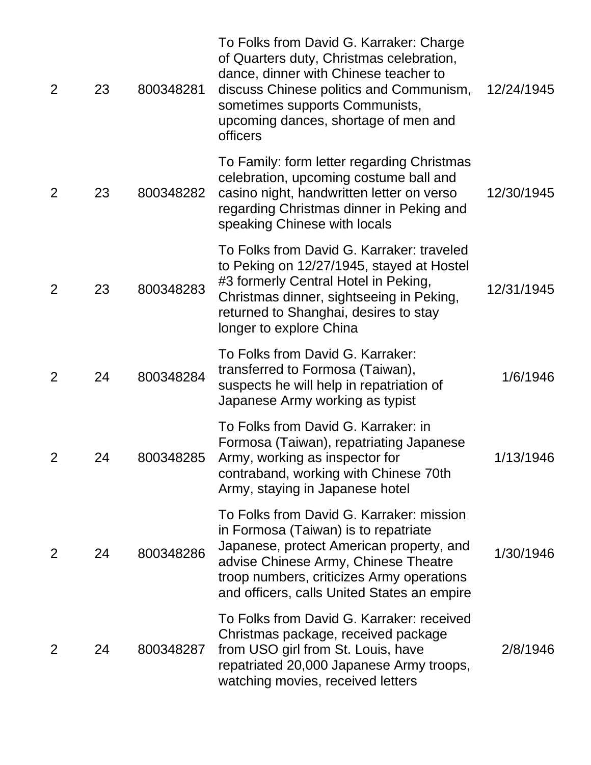| 2              | 23 | 800348281 | To Folks from David G. Karraker: Charge<br>of Quarters duty, Christmas celebration,<br>dance, dinner with Chinese teacher to<br>discuss Chinese politics and Communism,<br>sometimes supports Communists,<br>upcoming dances, shortage of men and<br>officers    | 12/24/1945 |
|----------------|----|-----------|------------------------------------------------------------------------------------------------------------------------------------------------------------------------------------------------------------------------------------------------------------------|------------|
| 2              | 23 | 800348282 | To Family: form letter regarding Christmas<br>celebration, upcoming costume ball and<br>casino night, handwritten letter on verso<br>regarding Christmas dinner in Peking and<br>speaking Chinese with locals                                                    | 12/30/1945 |
| $\overline{2}$ | 23 | 800348283 | To Folks from David G. Karraker: traveled<br>to Peking on 12/27/1945, stayed at Hostel<br>#3 formerly Central Hotel in Peking,<br>Christmas dinner, sightseeing in Peking,<br>returned to Shanghai, desires to stay<br>longer to explore China                   | 12/31/1945 |
| $\overline{2}$ | 24 | 800348284 | To Folks from David G. Karraker:<br>transferred to Formosa (Taiwan),<br>suspects he will help in repatriation of<br>Japanese Army working as typist                                                                                                              | 1/6/1946   |
| $\overline{2}$ | 24 | 800348285 | To Folks from David G. Karraker: in<br>Formosa (Taiwan), repatriating Japanese<br>Army, working as inspector for<br>contraband, working with Chinese 70th<br>Army, staying in Japanese hotel                                                                     | 1/13/1946  |
| $\overline{2}$ | 24 | 800348286 | To Folks from David G. Karraker: mission<br>in Formosa (Taiwan) is to repatriate<br>Japanese, protect American property, and<br>advise Chinese Army, Chinese Theatre<br>troop numbers, criticizes Army operations<br>and officers, calls United States an empire | 1/30/1946  |
| 2              | 24 | 800348287 | To Folks from David G. Karraker: received<br>Christmas package, received package<br>from USO girl from St. Louis, have<br>repatriated 20,000 Japanese Army troops,<br>watching movies, received letters                                                          | 2/8/1946   |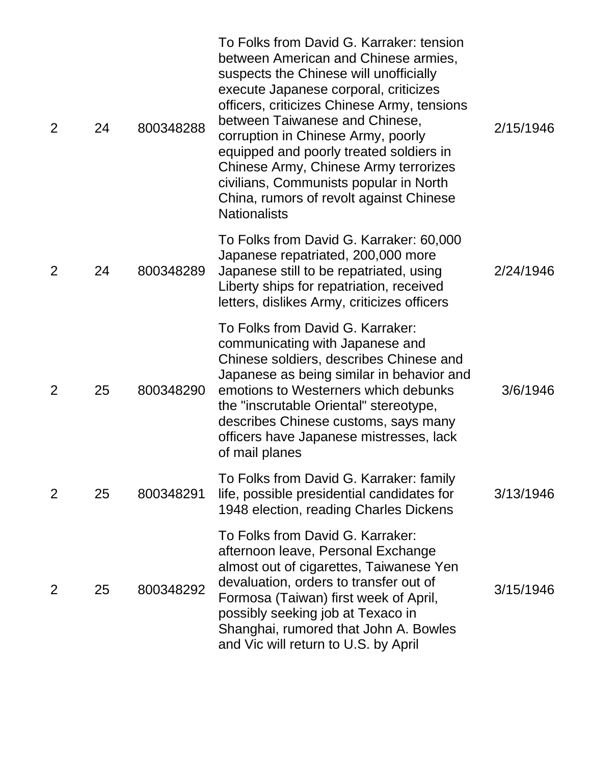| $\overline{2}$ | 24 | 800348288 | To Folks from David G. Karraker: tension<br>between American and Chinese armies,<br>suspects the Chinese will unofficially<br>execute Japanese corporal, criticizes<br>officers, criticizes Chinese Army, tensions<br>between Taiwanese and Chinese,<br>corruption in Chinese Army, poorly<br>equipped and poorly treated soldiers in<br>Chinese Army, Chinese Army terrorizes<br>civilians, Communists popular in North<br>China, rumors of revolt against Chinese<br><b>Nationalists</b> | 2/15/1946 |
|----------------|----|-----------|--------------------------------------------------------------------------------------------------------------------------------------------------------------------------------------------------------------------------------------------------------------------------------------------------------------------------------------------------------------------------------------------------------------------------------------------------------------------------------------------|-----------|
| $\overline{2}$ | 24 | 800348289 | To Folks from David G. Karraker: 60,000<br>Japanese repatriated, 200,000 more<br>Japanese still to be repatriated, using<br>Liberty ships for repatriation, received<br>letters, dislikes Army, criticizes officers                                                                                                                                                                                                                                                                        | 2/24/1946 |
| $\overline{2}$ | 25 | 800348290 | To Folks from David G. Karraker:<br>communicating with Japanese and<br>Chinese soldiers, describes Chinese and<br>Japanese as being similar in behavior and<br>emotions to Westerners which debunks<br>the "inscrutable Oriental" stereotype,<br>describes Chinese customs, says many<br>officers have Japanese mistresses, lack<br>of mail planes                                                                                                                                         | 3/6/1946  |
| $\overline{2}$ | 25 | 800348291 | To Folks from David G. Karraker: family<br>life, possible presidential candidates for<br>1948 election, reading Charles Dickens                                                                                                                                                                                                                                                                                                                                                            | 3/13/1946 |
| 2              | 25 | 800348292 | To Folks from David G. Karraker:<br>afternoon leave, Personal Exchange<br>almost out of cigarettes, Taiwanese Yen<br>devaluation, orders to transfer out of<br>Formosa (Taiwan) first week of April,<br>possibly seeking job at Texaco in<br>Shanghai, rumored that John A. Bowles<br>and Vic will return to U.S. by April                                                                                                                                                                 | 3/15/1946 |